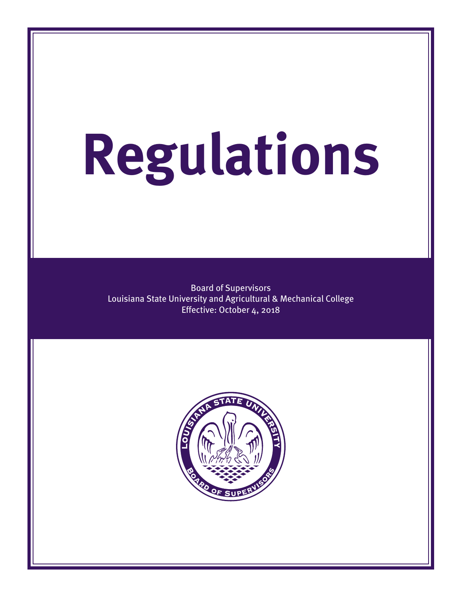# **Regulations**

Board of Supervisors Louisiana State University and Agricultural & Mechanical College Effective: October 4, 2018

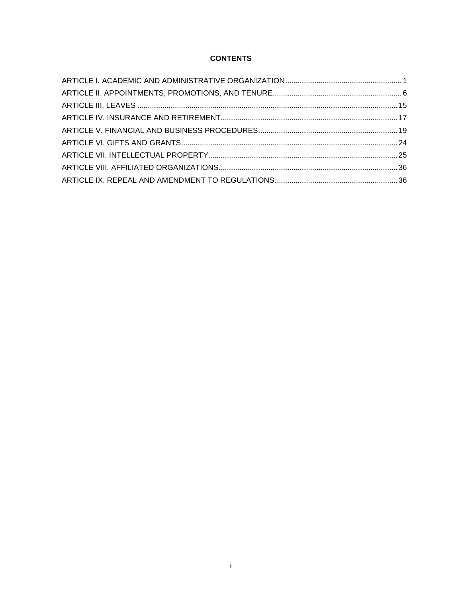# **CONTENTS**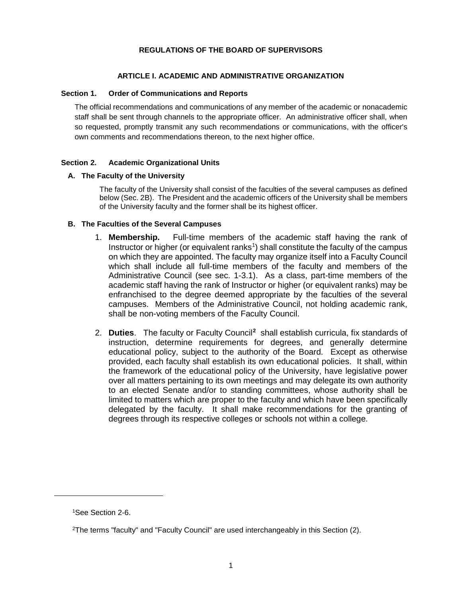## **REGULATIONS OF THE BOARD OF SUPERVISORS**

# **ARTICLE I. ACADEMIC AND ADMINISTRATIVE ORGANIZATION**

# <span id="page-2-0"></span>**Section 1. Order of Communications and Reports**

The official recommendations and communications of any member of the academic or nonacademic staff shall be sent through channels to the appropriate officer. An administrative officer shall, when so requested, promptly transmit any such recommendations or communications, with the officer's own comments and recommendations thereon, to the next higher office.

# **Section 2. Academic Organizational Units**

# **A. The Faculty of the University**

The faculty of the University shall consist of the faculties of the several campuses as defined below (Sec. 2B). The President and the academic officers of the University shall be members of the University faculty and the former shall be its highest officer.

# **B. The Faculties of the Several Campuses**

- 1. **Membership.** Full-time members of the academic staff having the rank of Instructor or higher (or equivalent ranks<sup>[1](#page-2-1)</sup>) shall constitute the faculty of the campus on which they are appointed. The faculty may organize itself into a Faculty Council which shall include all full-time members of the faculty and members of the Administrative Council (see sec. 1-3.1). As a class, part-time members of the academic staff having the rank of Instructor or higher (or equivalent ranks) may be enfranchised to the degree deemed appropriate by the faculties of the several campuses. Members of the Administrative Council, not holding academic rank, shall be non-voting members of the Faculty Council.
- 2. **Duties**. The faculty or Faculty Council**[2](#page-2-2)** shall establish curricula, fix standards of instruction, determine requirements for degrees, and generally determine educational policy, subject to the authority of the Board. Except as otherwise provided, each faculty shall establish its own educational policies. It shall, within the framework of the educational policy of the University, have legislative power over all matters pertaining to its own meetings and may delegate its own authority to an elected Senate and/or to standing committees, whose authority shall be limited to matters which are proper to the faculty and which have been specifically delegated by the faculty. It shall make recommendations for the granting of degrees through its respective colleges or schools not within a college.

<span id="page-2-2"></span><span id="page-2-1"></span> $\overline{a}$ 

<sup>1</sup>See Section 2-6.

<sup>2</sup>The terms "faculty" and "Faculty Council" are used interchangeably in this Section (2).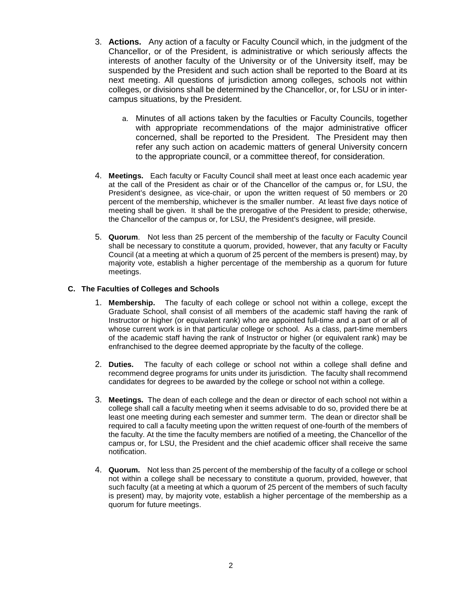- 3. **Actions.** Any action of a faculty or Faculty Council which, in the judgment of the Chancellor, or of the President, is administrative or which seriously affects the interests of another faculty of the University or of the University itself, may be suspended by the President and such action shall be reported to the Board at its next meeting. All questions of jurisdiction among colleges, schools not within colleges, or divisions shall be determined by the Chancellor, or, for LSU or in intercampus situations, by the President.
	- a. Minutes of all actions taken by the faculties or Faculty Councils, together with appropriate recommendations of the major administrative officer concerned, shall be reported to the President. The President may then refer any such action on academic matters of general University concern to the appropriate council, or a committee thereof, for consideration.
- 4. **Meetings.** Each faculty or Faculty Council shall meet at least once each academic year at the call of the President as chair or of the Chancellor of the campus or, for LSU, the President's designee, as vice-chair, or upon the written request of 50 members or 20 percent of the membership, whichever is the smaller number. At least five days notice of meeting shall be given. It shall be the prerogative of the President to preside; otherwise, the Chancellor of the campus or, for LSU, the President's designee, will preside.
- 5. **Quorum**. Not less than 25 percent of the membership of the faculty or Faculty Council shall be necessary to constitute a quorum, provided, however, that any faculty or Faculty Council (at a meeting at which a quorum of 25 percent of the members is present) may, by majority vote, establish a higher percentage of the membership as a quorum for future meetings.

# **C. The Faculties of Colleges and Schools**

- 1. **Membership.** The faculty of each college or school not within a college, except the Graduate School, shall consist of all members of the academic staff having the rank of Instructor or higher (or equivalent rank) who are appointed full-time and a part of or all of whose current work is in that particular college or school. As a class, part-time members of the academic staff having the rank of Instructor or higher (or equivalent rank) may be enfranchised to the degree deemed appropriate by the faculty of the college.
- 2. **Duties.** The faculty of each college or school not within a college shall define and recommend degree programs for units under its jurisdiction. The faculty shall recommend candidates for degrees to be awarded by the college or school not within a college.
- 3. **Meetings.** The dean of each college and the dean or director of each school not within a college shall call a faculty meeting when it seems advisable to do so, provided there be at least one meeting during each semester and summer term. The dean or director shall be required to call a faculty meeting upon the written request of one-fourth of the members of the faculty. At the time the faculty members are notified of a meeting, the Chancellor of the campus or, for LSU, the President and the chief academic officer shall receive the same notification.
- 4. **Quorum.** Not less than 25 percent of the membership of the faculty of a college or school not within a college shall be necessary to constitute a quorum, provided, however, that such faculty (at a meeting at which a quorum of 25 percent of the members of such faculty is present) may, by majority vote, establish a higher percentage of the membership as a quorum for future meetings.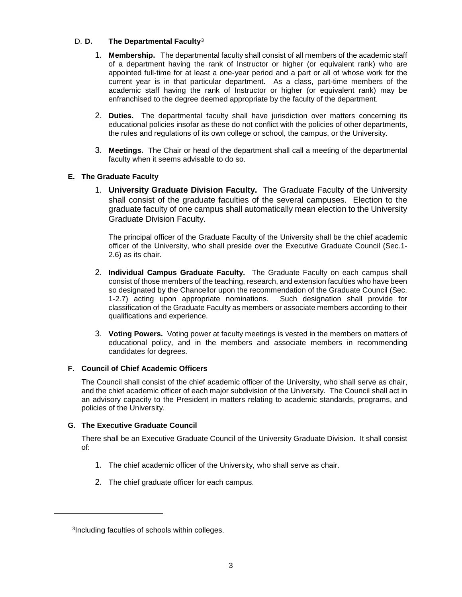# D. **D. The Departmental Faculty**[3](#page-4-0)

- 1. **Membership.** The departmental faculty shall consist of all members of the academic staff of a department having the rank of Instructor or higher (or equivalent rank) who are appointed full-time for at least a one-year period and a part or all of whose work for the current year is in that particular department. As a class, part-time members of the academic staff having the rank of Instructor or higher (or equivalent rank) may be enfranchised to the degree deemed appropriate by the faculty of the department.
- 2. **Duties.** The departmental faculty shall have jurisdiction over matters concerning its educational policies insofar as these do not conflict with the policies of other departments, the rules and regulations of its own college or school, the campus, or the University.
- 3. **Meetings.** The Chair or head of the department shall call a meeting of the departmental faculty when it seems advisable to do so.

# **E. The Graduate Faculty**

1. **University Graduate Division Faculty.** The Graduate Faculty of the University shall consist of the graduate faculties of the several campuses. Election to the graduate faculty of one campus shall automatically mean election to the University Graduate Division Faculty.

The principal officer of the Graduate Faculty of the University shall be the chief academic officer of the University, who shall preside over the Executive Graduate Council (Sec.1- 2.6) as its chair.

- 2. **Individual Campus Graduate Faculty.** The Graduate Faculty on each campus shall consist of those members of the teaching, research, and extension faculties who have been so designated by the Chancellor upon the recommendation of the Graduate Council (Sec. 1-2.7) acting upon appropriate nominations. Such designation shall provide for 1-2.7) acting upon appropriate nominations. classification of the Graduate Faculty as members or associate members according to their qualifications and experience.
- 3. **Voting Powers.** Voting power at faculty meetings is vested in the members on matters of educational policy, and in the members and associate members in recommending candidates for degrees.

# **F. Council of Chief Academic Officers**

The Council shall consist of the chief academic officer of the University, who shall serve as chair, and the chief academic officer of each major subdivision of the University. The Council shall act in an advisory capacity to the President in matters relating to academic standards, programs, and policies of the University.

# **G. The Executive Graduate Council**

<span id="page-4-0"></span> $\overline{a}$ 

There shall be an Executive Graduate Council of the University Graduate Division. It shall consist of:

- 1. The chief academic officer of the University, who shall serve as chair.
- 2. The chief graduate officer for each campus.

<sup>3</sup>Including faculties of schools within colleges.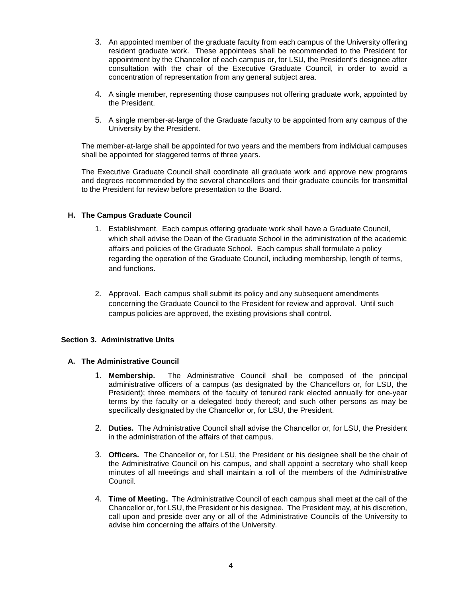- 3. An appointed member of the graduate faculty from each campus of the University offering resident graduate work. These appointees shall be recommended to the President for appointment by the Chancellor of each campus or, for LSU, the President's designee after consultation with the chair of the Executive Graduate Council, in order to avoid a concentration of representation from any general subject area.
- 4. A single member, representing those campuses not offering graduate work, appointed by the President.
- 5. A single member-at-large of the Graduate faculty to be appointed from any campus of the University by the President.

The member-at-large shall be appointed for two years and the members from individual campuses shall be appointed for staggered terms of three years.

The Executive Graduate Council shall coordinate all graduate work and approve new programs and degrees recommended by the several chancellors and their graduate councils for transmittal to the President for review before presentation to the Board.

# **H. The Campus Graduate Council**

- 1. Establishment. Each campus offering graduate work shall have a Graduate Council, which shall advise the Dean of the Graduate School in the administration of the academic affairs and policies of the Graduate School. Each campus shall formulate a policy regarding the operation of the Graduate Council, including membership, length of terms, and functions.
- 2. Approval. Each campus shall submit its policy and any subsequent amendments concerning the Graduate Council to the President for review and approval. Until such campus policies are approved, the existing provisions shall control.

# **Section 3. Administrative Units**

## **A. The Administrative Council**

- 1. **Membership.** The Administrative Council shall be composed of the principal administrative officers of a campus (as designated by the Chancellors or, for LSU, the President); three members of the faculty of tenured rank elected annually for one-year terms by the faculty or a delegated body thereof; and such other persons as may be specifically designated by the Chancellor or, for LSU, the President.
- 2. **Duties.** The Administrative Council shall advise the Chancellor or, for LSU, the President in the administration of the affairs of that campus.
- 3. **Officers.** The Chancellor or, for LSU, the President or his designee shall be the chair of the Administrative Council on his campus, and shall appoint a secretary who shall keep minutes of all meetings and shall maintain a roll of the members of the Administrative Council.
- 4. **Time of Meeting.** The Administrative Council of each campus shall meet at the call of the Chancellor or, for LSU, the President or his designee. The President may, at his discretion, call upon and preside over any or all of the Administrative Councils of the University to advise him concerning the affairs of the University.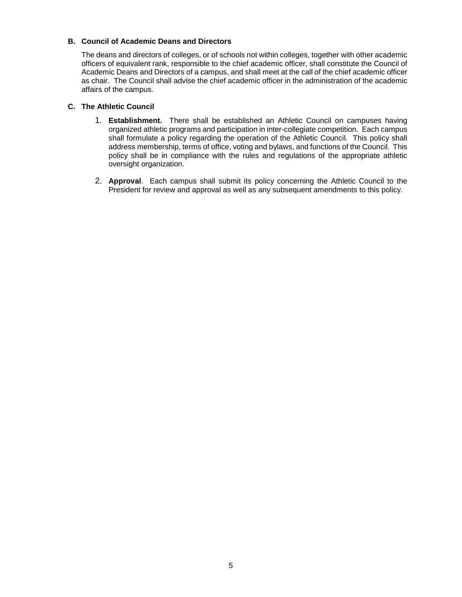# **B. Council of Academic Deans and Directors**

The deans and directors of colleges, or of schools not within colleges, together with other academic officers of equivalent rank, responsible to the chief academic officer, shall constitute the Council of Academic Deans and Directors of a campus, and shall meet at the call of the chief academic officer as chair. The Council shall advise the chief academic officer in the administration of the academic affairs of the campus.

# **C. The Athletic Council**

- 1. **Establishment.** There shall be established an Athletic Council on campuses having organized athletic programs and participation in inter-collegiate competition. Each campus shall formulate a policy regarding the operation of the Athletic Council. This policy shall address membership, terms of office, voting and bylaws, and functions of the Council. This policy shall be in compliance with the rules and regulations of the appropriate athletic oversight organization.
- 2. **Approval**. Each campus shall submit its policy concerning the Athletic Council to the President for review and approval as well as any subsequent amendments to this policy.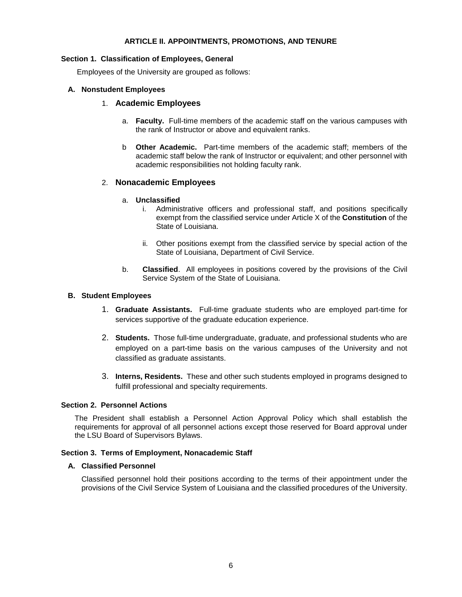## **ARTICLE II. APPOINTMENTS, PROMOTIONS, AND TENURE**

#### <span id="page-7-0"></span>**Section 1. Classification of Employees, General**

Employees of the University are grouped as follows:

## **A. Nonstudent Employees**

#### 1. **Academic Employees**

- a. **Faculty.** Full-time members of the academic staff on the various campuses with the rank of Instructor or above and equivalent ranks.
- b **Other Academic.** Part-time members of the academic staff; members of the academic staff below the rank of Instructor or equivalent; and other personnel with academic responsibilities not holding faculty rank.

## 2. **Nonacademic Employees**

## a. **Unclassified**

- i. Administrative officers and professional staff, and positions specifically exempt from the classified service under Article X of the **Constitution** of the State of Louisiana.
- ii. Other positions exempt from the classified service by special action of the State of Louisiana, Department of Civil Service.
- b. **Classified**. All employees in positions covered by the provisions of the Civil Service System of the State of Louisiana.

#### **B. Student Employees**

- 1. **Graduate Assistants.** Full-time graduate students who are employed part-time for services supportive of the graduate education experience.
- 2. **Students.** Those full-time undergraduate, graduate, and professional students who are employed on a part-time basis on the various campuses of the University and not classified as graduate assistants.
- 3. **Interns, Residents.** These and other such students employed in programs designed to fulfill professional and specialty requirements.

## **Section 2. Personnel Actions**

The President shall establish a Personnel Action Approval Policy which shall establish the requirements for approval of all personnel actions except those reserved for Board approval under the LSU Board of Supervisors Bylaws.

#### **Section 3. Terms of Employment, Nonacademic Staff**

## **A. Classified Personnel**

Classified personnel hold their positions according to the terms of their appointment under the provisions of the Civil Service System of Louisiana and the classified procedures of the University.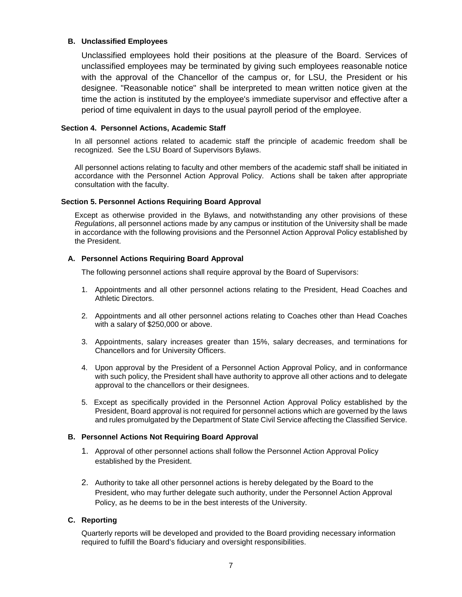# **B. Unclassified Employees**

Unclassified employees hold their positions at the pleasure of the Board. Services of unclassified employees may be terminated by giving such employees reasonable notice with the approval of the Chancellor of the campus or, for LSU, the President or his designee. "Reasonable notice" shall be interpreted to mean written notice given at the time the action is instituted by the employee's immediate supervisor and effective after a period of time equivalent in days to the usual payroll period of the employee.

## **Section 4. Personnel Actions, Academic Staff**

In all personnel actions related to academic staff the principle of academic freedom shall be recognized. See the LSU Board of Supervisors Bylaws.

All personnel actions relating to faculty and other members of the academic staff shall be initiated in accordance with the Personnel Action Approval Policy. Actions shall be taken after appropriate consultation with the faculty.

# **Section 5. Personnel Actions Requiring Board Approval**

Except as otherwise provided in the Bylaws, and notwithstanding any other provisions of these *Regulations*, all personnel actions made by any campus or institution of the University shall be made in accordance with the following provisions and the Personnel Action Approval Policy established by the President.

# **A. Personnel Actions Requiring Board Approval**

The following personnel actions shall require approval by the Board of Supervisors:

- 1. Appointments and all other personnel actions relating to the President, Head Coaches and Athletic Directors.
- 2. Appointments and all other personnel actions relating to Coaches other than Head Coaches with a salary of \$250,000 or above.
- 3. Appointments, salary increases greater than 15%, salary decreases, and terminations for Chancellors and for University Officers.
- 4. Upon approval by the President of a Personnel Action Approval Policy, and in conformance with such policy, the President shall have authority to approve all other actions and to delegate approval to the chancellors or their designees.
- 5. Except as specifically provided in the Personnel Action Approval Policy established by the President, Board approval is not required for personnel actions which are governed by the laws and rules promulgated by the Department of State Civil Service affecting the Classified Service.

# **B. Personnel Actions Not Requiring Board Approval**

- 1. Approval of other personnel actions shall follow the Personnel Action Approval Policy established by the President.
- 2. Authority to take all other personnel actions is hereby delegated by the Board to the President, who may further delegate such authority, under the Personnel Action Approval Policy, as he deems to be in the best interests of the University.

# **C. Reporting**

Quarterly reports will be developed and provided to the Board providing necessary information required to fulfill the Board's fiduciary and oversight responsibilities.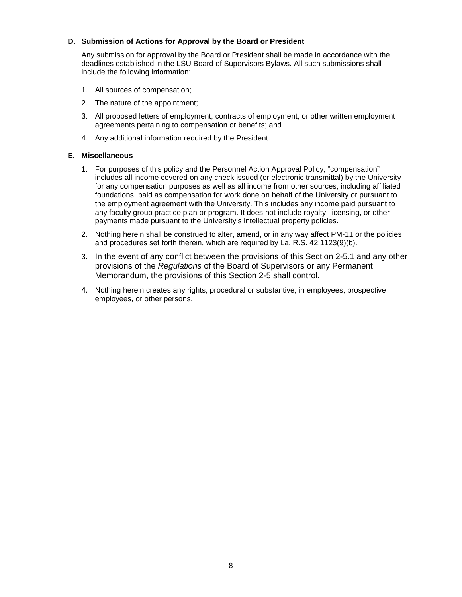# **D. Submission of Actions for Approval by the Board or President**

Any submission for approval by the Board or President shall be made in accordance with the deadlines established in the LSU Board of Supervisors Bylaws. All such submissions shall include the following information:

- 1. All sources of compensation;
- 2. The nature of the appointment;
- 3. All proposed letters of employment, contracts of employment, or other written employment agreements pertaining to compensation or benefits; and
- 4. Any additional information required by the President.

# **E. Miscellaneous**

- 1. For purposes of this policy and the Personnel Action Approval Policy, "compensation" includes all income covered on any check issued (or electronic transmittal) by the University for any compensation purposes as well as all income from other sources, including affiliated foundations, paid as compensation for work done on behalf of the University or pursuant to the employment agreement with the University. This includes any income paid pursuant to any faculty group practice plan or program. It does not include royalty, licensing, or other payments made pursuant to the University's intellectual property policies.
- 2. Nothing herein shall be construed to alter, amend, or in any way affect PM-11 or the policies and procedures set forth therein, which are required by La. R.S. 42:1123(9)(b).
- 3. In the event of any conflict between the provisions of this Section 2-5.1 and any other provisions of the *Regulations* of the Board of Supervisors or any Permanent Memorandum, the provisions of this Section 2-5 shall control.
- 4. Nothing herein creates any rights, procedural or substantive, in employees, prospective employees, or other persons.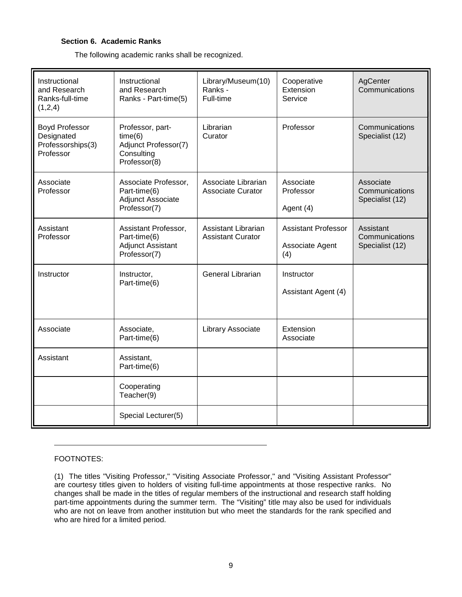# **Section 6. Academic Ranks**

The following academic ranks shall be recognized.

| Instructional<br>and Research<br>Ranks-full-time<br>(1,2,4)           | Instructional<br>and Research<br>Ranks - Part-time(5)                             | Library/Museum(10)<br>Ranks -<br>Full-time      | Cooperative<br>Extension<br>Service                  | AgCenter<br>Communications                     |
|-----------------------------------------------------------------------|-----------------------------------------------------------------------------------|-------------------------------------------------|------------------------------------------------------|------------------------------------------------|
| <b>Boyd Professor</b><br>Designated<br>Professorships(3)<br>Professor | Professor, part-<br>time(6)<br>Adjunct Professor(7)<br>Consulting<br>Professor(8) | Librarian<br>Curator                            | Professor                                            | Communications<br>Specialist (12)              |
| Associate<br>Professor                                                | Associate Professor,<br>Part-time(6)<br>Adjunct Associate<br>Professor(7)         | Associate Librarian<br><b>Associate Curator</b> | Associate<br>Professor<br>Agent (4)                  | Associate<br>Communications<br>Specialist (12) |
| Assistant<br>Professor                                                | Assistant Professor,<br>Part-time(6)<br><b>Adjunct Assistant</b><br>Professor(7)  | Assistant Librarian<br><b>Assistant Curator</b> | <b>Assistant Professor</b><br>Associate Agent<br>(4) | Assistant<br>Communications<br>Specialist (12) |
| Instructor                                                            | Instructor,<br>Part-time(6)                                                       | <b>General Librarian</b>                        | Instructor<br>Assistant Agent (4)                    |                                                |
| Associate                                                             | Associate,<br>Part-time(6)                                                        | Library Associate                               | Extension<br>Associate                               |                                                |
| Assistant                                                             | Assistant,<br>Part-time(6)                                                        |                                                 |                                                      |                                                |
|                                                                       | Cooperating<br>Teacher(9)                                                         |                                                 |                                                      |                                                |
|                                                                       | Special Lecturer(5)                                                               |                                                 |                                                      |                                                |

# FOOTNOTES:

(1) The titles "Visiting Professor," "Visiting Associate Professor," and "Visiting Assistant Professor" are courtesy titles given to holders of visiting full-time appointments at those respective ranks. No changes shall be made in the titles of regular members of the instructional and research staff holding part-time appointments during the summer term. The "Visiting" title may also be used for individuals who are not on leave from another institution but who meet the standards for the rank specified and who are hired for a limited period.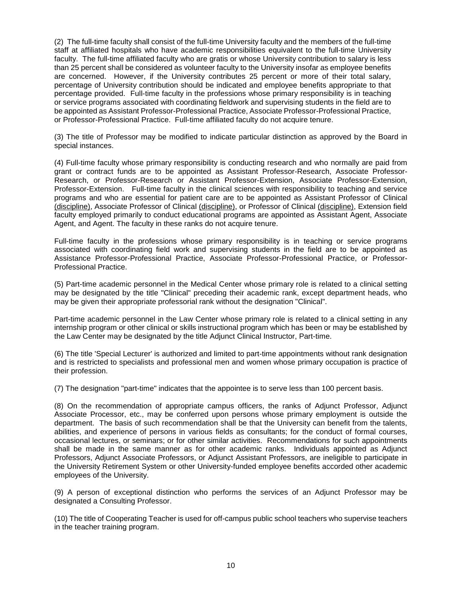(2) The full-time faculty shall consist of the full-time University faculty and the members of the full-time staff at affiliated hospitals who have academic responsibilities equivalent to the full-time University faculty. The full-time affiliated faculty who are gratis or whose University contribution to salary is less than 25 percent shall be considered as volunteer faculty to the University insofar as employee benefits are concerned. However, if the University contributes 25 percent or more of their total salary, percentage of University contribution should be indicated and employee benefits appropriate to that percentage provided. Full-time faculty in the professions whose primary responsibility is in teaching or service programs associated with coordinating fieldwork and supervising students in the field are to be appointed as Assistant Professor-Professional Practice, Associate Professor-Professional Practice, or Professor-Professional Practice. Full-time affiliated faculty do not acquire tenure.

(3) The title of Professor may be modified to indicate particular distinction as approved by the Board in special instances.

(4) Full-time faculty whose primary responsibility is conducting research and who normally are paid from grant or contract funds are to be appointed as Assistant Professor-Research, Associate Professor-Research, or Professor-Research or Assistant Professor-Extension, Associate Professor-Extension, Professor-Extension. Full-time faculty in the clinical sciences with responsibility to teaching and service programs and who are essential for patient care are to be appointed as Assistant Professor of Clinical (discipline), Associate Professor of Clinical (discipline), or Professor of Clinical (discipline), Extension field faculty employed primarily to conduct educational programs are appointed as Assistant Agent, Associate Agent, and Agent. The faculty in these ranks do not acquire tenure.

Full-time faculty in the professions whose primary responsibility is in teaching or service programs associated with coordinating field work and supervising students in the field are to be appointed as Assistance Professor-Professional Practice, Associate Professor-Professional Practice, or Professor-Professional Practice.

(5) Part-time academic personnel in the Medical Center whose primary role is related to a clinical setting may be designated by the title "Clinical" preceding their academic rank, except department heads, who may be given their appropriate professorial rank without the designation "Clinical".

Part-time academic personnel in the Law Center whose primary role is related to a clinical setting in any internship program or other clinical or skills instructional program which has been or may be established by the Law Center may be designated by the title Adjunct Clinical Instructor, Part-time.

(6) The title 'Special Lecturer' is authorized and limited to part-time appointments without rank designation and is restricted to specialists and professional men and women whose primary occupation is practice of their profession.

(7) The designation "part-time" indicates that the appointee is to serve less than 100 percent basis.

(8) On the recommendation of appropriate campus officers, the ranks of Adjunct Professor, Adjunct Associate Processor, etc., may be conferred upon persons whose primary employment is outside the department. The basis of such recommendation shall be that the University can benefit from the talents, abilities, and experience of persons in various fields as consultants; for the conduct of formal courses, occasional lectures, or seminars; or for other similar activities. Recommendations for such appointments shall be made in the same manner as for other academic ranks. Individuals appointed as Adjunct Professors, Adjunct Associate Professors, or Adjunct Assistant Professors, are ineligible to participate in the University Retirement System or other University-funded employee benefits accorded other academic employees of the University.

(9) A person of exceptional distinction who performs the services of an Adjunct Professor may be designated a Consulting Professor.

(10) The title of Cooperating Teacher is used for off-campus public school teachers who supervise teachers in the teacher training program.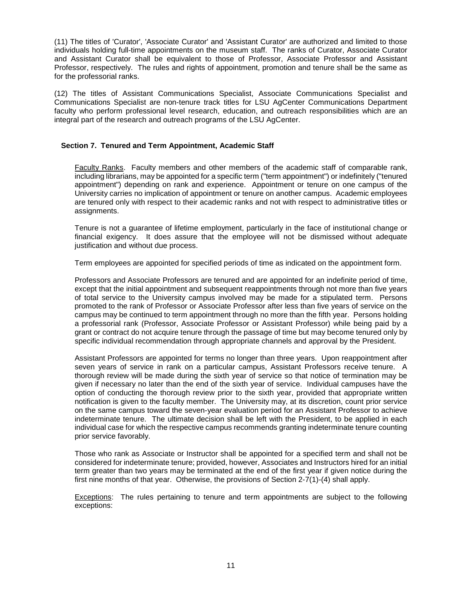(11) The titles of 'Curator', 'Associate Curator' and 'Assistant Curator' are authorized and limited to those individuals holding full-time appointments on the museum staff. The ranks of Curator, Associate Curator and Assistant Curator shall be equivalent to those of Professor, Associate Professor and Assistant Professor, respectively. The rules and rights of appointment, promotion and tenure shall be the same as for the professorial ranks.

(12) The titles of Assistant Communications Specialist, Associate Communications Specialist and Communications Specialist are non-tenure track titles for LSU AgCenter Communications Department faculty who perform professional level research, education, and outreach responsibilities which are an integral part of the research and outreach programs of the LSU AgCenter.

# **Section 7. Tenured and Term Appointment, Academic Staff**

Faculty Ranks. Faculty members and other members of the academic staff of comparable rank, including librarians, may be appointed for a specific term ("term appointment") or indefinitely ("tenured appointment") depending on rank and experience. Appointment or tenure on one campus of the University carries no implication of appointment or tenure on another campus. Academic employees are tenured only with respect to their academic ranks and not with respect to administrative titles or assignments.

Tenure is not a guarantee of lifetime employment, particularly in the face of institutional change or financial exigency. It does assure that the employee will not be dismissed without adequate justification and without due process.

Term employees are appointed for specified periods of time as indicated on the appointment form.

Professors and Associate Professors are tenured and are appointed for an indefinite period of time, except that the initial appointment and subsequent reappointments through not more than five years of total service to the University campus involved may be made for a stipulated term. Persons promoted to the rank of Professor or Associate Professor after less than five years of service on the campus may be continued to term appointment through no more than the fifth year. Persons holding a professorial rank (Professor, Associate Professor or Assistant Professor) while being paid by a grant or contract do not acquire tenure through the passage of time but may become tenured only by specific individual recommendation through appropriate channels and approval by the President.

Assistant Professors are appointed for terms no longer than three years. Upon reappointment after seven years of service in rank on a particular campus, Assistant Professors receive tenure. A thorough review will be made during the sixth year of service so that notice of termination may be given if necessary no later than the end of the sixth year of service. Individual campuses have the option of conducting the thorough review prior to the sixth year, provided that appropriate written notification is given to the faculty member. The University may, at its discretion, count prior service on the same campus toward the seven-year evaluation period for an Assistant Professor to achieve indeterminate tenure. The ultimate decision shall be left with the President, to be applied in each individual case for which the respective campus recommends granting indeterminate tenure counting prior service favorably.

Those who rank as Associate or Instructor shall be appointed for a specified term and shall not be considered for indeterminate tenure; provided, however, Associates and Instructors hired for an initial term greater than two years may be terminated at the end of the first year if given notice during the first nine months of that year. Otherwise, the provisions of Section 2-7(1)-(4) shall apply.

Exceptions: The rules pertaining to tenure and term appointments are subject to the following exceptions: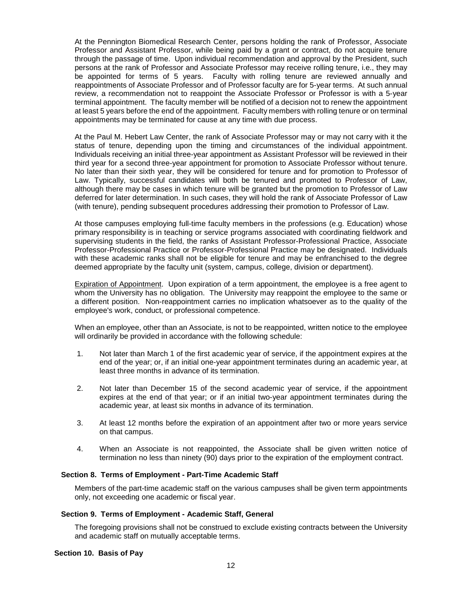At the Pennington Biomedical Research Center, persons holding the rank of Professor, Associate Professor and Assistant Professor, while being paid by a grant or contract, do not acquire tenure through the passage of time. Upon individual recommendation and approval by the President, such persons at the rank of Professor and Associate Professor may receive rolling tenure, i.e., they may be appointed for terms of 5 years. Faculty with rolling tenure are reviewed annually and reappointments of Associate Professor and of Professor faculty are for 5-year terms. At such annual review, a recommendation not to reappoint the Associate Professor or Professor is with a 5-year terminal appointment. The faculty member will be notified of a decision not to renew the appointment at least 5 years before the end of the appointment. Faculty members with rolling tenure or on terminal appointments may be terminated for cause at any time with due process.

At the Paul M. Hebert Law Center, the rank of Associate Professor may or may not carry with it the status of tenure, depending upon the timing and circumstances of the individual appointment. Individuals receiving an initial three-year appointment as Assistant Professor will be reviewed in their third year for a second three-year appointment for promotion to Associate Professor without tenure. No later than their sixth year, they will be considered for tenure and for promotion to Professor of Law. Typically, successful candidates will both be tenured and promoted to Professor of Law, although there may be cases in which tenure will be granted but the promotion to Professor of Law deferred for later determination. In such cases, they will hold the rank of Associate Professor of Law (with tenure), pending subsequent procedures addressing their promotion to Professor of Law.

At those campuses employing full-time faculty members in the professions (e.g. Education) whose primary responsibility is in teaching or service programs associated with coordinating fieldwork and supervising students in the field, the ranks of Assistant Professor-Professional Practice, Associate Professor-Professional Practice or Professor-Professional Practice may be designated. Individuals with these academic ranks shall not be eligible for tenure and may be enfranchised to the degree deemed appropriate by the faculty unit (system, campus, college, division or department).

Expiration of Appointment. Upon expiration of a term appointment, the employee is a free agent to whom the University has no obligation. The University may reappoint the employee to the same or a different position. Non-reappointment carries no implication whatsoever as to the quality of the employee's work, conduct, or professional competence.

When an employee, other than an Associate, is not to be reappointed, written notice to the employee will ordinarily be provided in accordance with the following schedule:

- 1. Not later than March 1 of the first academic year of service, if the appointment expires at the end of the year; or, if an initial one-year appointment terminates during an academic year, at least three months in advance of its termination.
- 2. Not later than December 15 of the second academic year of service, if the appointment expires at the end of that year; or if an initial two-year appointment terminates during the academic year, at least six months in advance of its termination.
- 3. At least 12 months before the expiration of an appointment after two or more years service on that campus.
- 4. When an Associate is not reappointed, the Associate shall be given written notice of termination no less than ninety (90) days prior to the expiration of the employment contract.

## **Section 8. Terms of Employment - Part-Time Academic Staff**

Members of the part-time academic staff on the various campuses shall be given term appointments only, not exceeding one academic or fiscal year.

#### **Section 9. Terms of Employment - Academic Staff, General**

The foregoing provisions shall not be construed to exclude existing contracts between the University and academic staff on mutually acceptable terms.

#### **Section 10. Basis of Pay**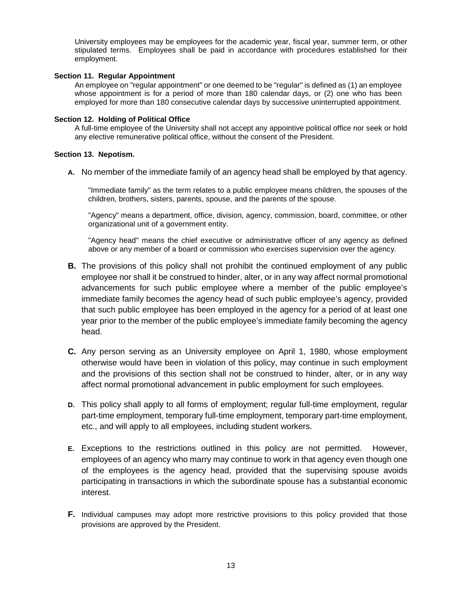University employees may be employees for the academic year, fiscal year, summer term, or other stipulated terms. Employees shall be paid in accordance with procedures established for their employment.

## **Section 11. Regular Appointment**

An employee on "regular appointment" or one deemed to be "regular" is defined as (1) an employee whose appointment is for a period of more than 180 calendar days, or (2) one who has been employed for more than 180 consecutive calendar days by successive uninterrupted appointment.

# **Section 12. Holding of Political Office**

A full-time employee of the University shall not accept any appointive political office nor seek or hold any elective remunerative political office, without the consent of the President.

# **Section 13. Nepotism.**

**A.** No member of the immediate family of an agency head shall be employed by that agency.

"Immediate family" as the term relates to a public employee means children, the spouses of the children, brothers, sisters, parents, spouse, and the parents of the spouse.

"Agency" means a department, office, division, agency, commission, board, committee, or other organizational unit of a government entity.

"Agency head" means the chief executive or administrative officer of any agency as defined above or any member of a board or commission who exercises supervision over the agency.

- **B.** The provisions of this policy shall not prohibit the continued employment of any public employee nor shall it be construed to hinder, alter, or in any way affect normal promotional advancements for such public employee where a member of the public employee's immediate family becomes the agency head of such public employee's agency, provided that such public employee has been employed in the agency for a period of at least one year prior to the member of the public employee's immediate family becoming the agency head.
- **C.** Any person serving as an University employee on April 1, 1980, whose employment otherwise would have been in violation of this policy, may continue in such employment and the provisions of this section shall not be construed to hinder, alter, or in any way affect normal promotional advancement in public employment for such employees.
- **D.** This policy shall apply to all forms of employment; regular full-time employment, regular part-time employment, temporary full-time employment, temporary part-time employment, etc., and will apply to all employees, including student workers.
- **E.** Exceptions to the restrictions outlined in this policy are not permitted. However, employees of an agency who marry may continue to work in that agency even though one of the employees is the agency head, provided that the supervising spouse avoids participating in transactions in which the subordinate spouse has a substantial economic interest.
- **F.** Individual campuses may adopt more restrictive provisions to this policy provided that those provisions are approved by the President.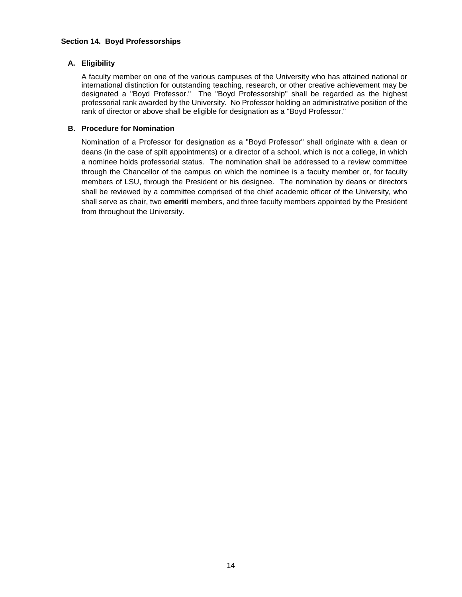# **Section 14. Boyd Professorships**

# **A. Eligibility**

A faculty member on one of the various campuses of the University who has attained national or international distinction for outstanding teaching, research, or other creative achievement may be designated a "Boyd Professor." The "Boyd Professorship" shall be regarded as the highest professorial rank awarded by the University. No Professor holding an administrative position of the rank of director or above shall be eligible for designation as a "Boyd Professor."

# **B. Procedure for Nomination**

Nomination of a Professor for designation as a "Boyd Professor" shall originate with a dean or deans (in the case of split appointments) or a director of a school, which is not a college, in which a nominee holds professorial status. The nomination shall be addressed to a review committee through the Chancellor of the campus on which the nominee is a faculty member or, for faculty members of LSU, through the President or his designee. The nomination by deans or directors shall be reviewed by a committee comprised of the chief academic officer of the University, who shall serve as chair, two **emeriti** members, and three faculty members appointed by the President from throughout the University.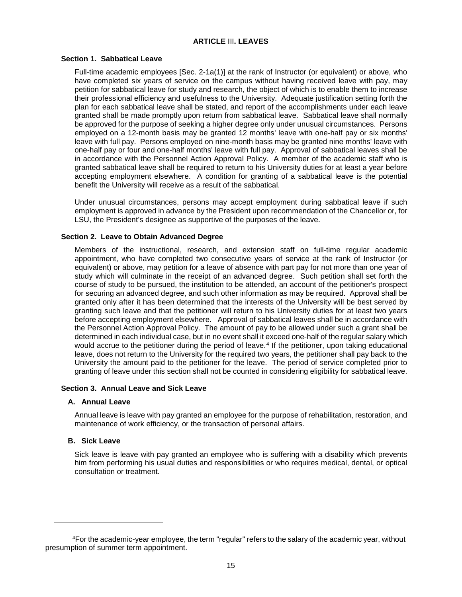# **ARTICLE** III**. LEAVES**

# <span id="page-16-0"></span>**Section 1. Sabbatical Leave**

Full-time academic employees [Sec. 2-1a(1)] at the rank of Instructor (or equivalent) or above, who have completed six years of service on the campus without having received leave with pay, may petition for sabbatical leave for study and research, the object of which is to enable them to increase their professional efficiency and usefulness to the University. Adequate justification setting forth the plan for each sabbatical leave shall be stated, and report of the accomplishments under each leave granted shall be made promptly upon return from sabbatical leave. Sabbatical leave shall normally be approved for the purpose of seeking a higher degree only under unusual circumstances. Persons employed on a 12-month basis may be granted 12 months' leave with one-half pay or six months' leave with full pay. Persons employed on nine-month basis may be granted nine months' leave with one-half pay or four and one-half months' leave with full pay. Approval of sabbatical leaves shall be in accordance with the Personnel Action Approval Policy. A member of the academic staff who is granted sabbatical leave shall be required to return to his University duties for at least a year before accepting employment elsewhere. A condition for granting of a sabbatical leave is the potential benefit the University will receive as a result of the sabbatical.

Under unusual circumstances, persons may accept employment during sabbatical leave if such employment is approved in advance by the President upon recommendation of the Chancellor or, for LSU, the President's designee as supportive of the purposes of the leave.

## **Section 2. Leave to Obtain Advanced Degree**

Members of the instructional, research, and extension staff on full-time regular academic appointment, who have completed two consecutive years of service at the rank of Instructor (or equivalent) or above, may petition for a leave of absence with part pay for not more than one year of study which will culminate in the receipt of an advanced degree. Such petition shall set forth the course of study to be pursued, the institution to be attended, an account of the petitioner's prospect for securing an advanced degree, and such other information as may be required. Approval shall be granted only after it has been determined that the interests of the University will be best served by granting such leave and that the petitioner will return to his University duties for at least two years before accepting employment elsewhere. Approval of sabbatical leaves shall be in accordance with the Personnel Action Approval Policy. The amount of pay to be allowed under such a grant shall be determined in each individual case, but in no event shall it exceed one-half of the regular salary which would accrue to the petitioner during the period of leave.<sup>[4](#page-16-1)</sup> If the petitioner, upon taking educational leave, does not return to the University for the required two years, the petitioner shall pay back to the University the amount paid to the petitioner for the leave. The period of service completed prior to granting of leave under this section shall not be counted in considering eligibility for sabbatical leave.

## **Section 3. Annual Leave and Sick Leave**

## **A. Annual Leave**

Annual leave is leave with pay granted an employee for the purpose of rehabilitation, restoration, and maintenance of work efficiency, or the transaction of personal affairs.

## **B. Sick Leave**

 $\overline{a}$ 

Sick leave is leave with pay granted an employee who is suffering with a disability which prevents him from performing his usual duties and responsibilities or who requires medical, dental, or optical consultation or treatment.

<span id="page-16-1"></span><sup>4</sup>For the academic-year employee, the term "regular" refers to the salary of the academic year, without presumption of summer term appointment.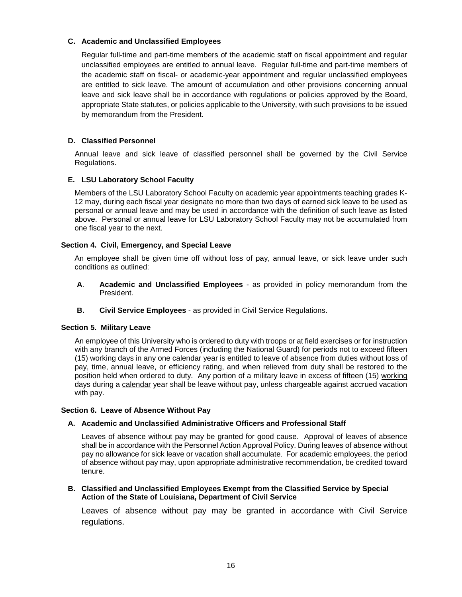# **C. Academic and Unclassified Employees**

Regular full-time and part-time members of the academic staff on fiscal appointment and regular unclassified employees are entitled to annual leave. Regular full-time and part-time members of the academic staff on fiscal- or academic-year appointment and regular unclassified employees are entitled to sick leave. The amount of accumulation and other provisions concerning annual leave and sick leave shall be in accordance with regulations or policies approved by the Board, appropriate State statutes, or policies applicable to the University, with such provisions to be issued by memorandum from the President.

# **D. Classified Personnel**

Annual leave and sick leave of classified personnel shall be governed by the Civil Service Regulations.

# **E. LSU Laboratory School Faculty**

Members of the LSU Laboratory School Faculty on academic year appointments teaching grades K-12 may, during each fiscal year designate no more than two days of earned sick leave to be used as personal or annual leave and may be used in accordance with the definition of such leave as listed above. Personal or annual leave for LSU Laboratory School Faculty may not be accumulated from one fiscal year to the next.

# **Section 4. Civil, Emergency, and Special Leave**

An employee shall be given time off without loss of pay, annual leave, or sick leave under such conditions as outlined:

- **A**. **Academic and Unclassified Employees** as provided in policy memorandum from the President.
- **B. Civil Service Employees** as provided in Civil Service Regulations.

# **Section 5. Military Leave**

An employee of this University who is ordered to duty with troops or at field exercises or for instruction with any branch of the Armed Forces (including the National Guard) for periods not to exceed fifteen (15) working days in any one calendar year is entitled to leave of absence from duties without loss of pay, time, annual leave, or efficiency rating, and when relieved from duty shall be restored to the position held when ordered to duty. Any portion of a military leave in excess of fifteen (15) working days during a calendar year shall be leave without pay, unless chargeable against accrued vacation with pay.

## **Section 6. Leave of Absence Without Pay**

## **A. Academic and Unclassified Administrative Officers and Professional Staff**

Leaves of absence without pay may be granted for good cause. Approval of leaves of absence shall be in accordance with the Personnel Action Approval Policy. During leaves of absence without pay no allowance for sick leave or vacation shall accumulate. For academic employees, the period of absence without pay may, upon appropriate administrative recommendation, be credited toward tenure.

## **B. Classified and Unclassified Employees Exempt from the Classified Service by Special Action of the State of Louisiana, Department of Civil Service**

Leaves of absence without pay may be granted in accordance with Civil Service regulations.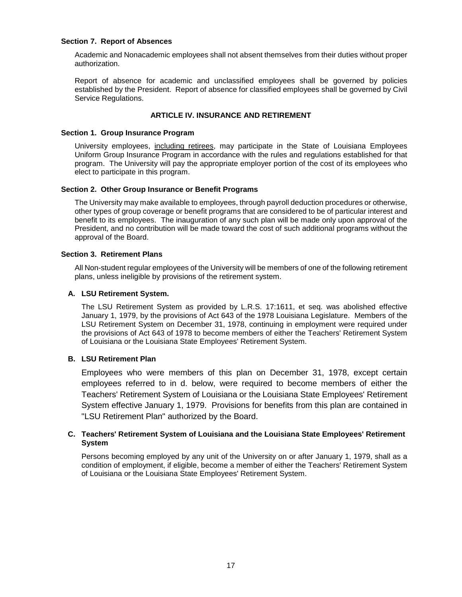## **Section 7. Report of Absences**

Academic and Nonacademic employees shall not absent themselves from their duties without proper authorization.

Report of absence for academic and unclassified employees shall be governed by policies established by the President. Report of absence for classified employees shall be governed by Civil Service Regulations.

# **ARTICLE IV. INSURANCE AND RETIREMENT**

# <span id="page-18-0"></span>**Section 1. Group Insurance Program**

University employees, including retirees, may participate in the State of Louisiana Employees Uniform Group Insurance Program in accordance with the rules and regulations established for that program. The University will pay the appropriate employer portion of the cost of its employees who elect to participate in this program.

# **Section 2. Other Group Insurance or Benefit Programs**

The University may make available to employees, through payroll deduction procedures or otherwise, other types of group coverage or benefit programs that are considered to be of particular interest and benefit to its employees. The inauguration of any such plan will be made only upon approval of the President, and no contribution will be made toward the cost of such additional programs without the approval of the Board.

# **Section 3. Retirement Plans**

All Non-student regular employees of the University will be members of one of the following retirement plans, unless ineligible by provisions of the retirement system.

# **A. LSU Retirement System.**

The LSU Retirement System as provided by L.R.S. 17:1611, et seq. was abolished effective January 1, 1979, by the provisions of Act 643 of the 1978 Louisiana Legislature. Members of the LSU Retirement System on December 31, 1978, continuing in employment were required under the provisions of Act 643 of 1978 to become members of either the Teachers' Retirement System of Louisiana or the Louisiana State Employees' Retirement System.

# **B. LSU Retirement Plan**

Employees who were members of this plan on December 31, 1978, except certain employees referred to in d. below, were required to become members of either the Teachers' Retirement System of Louisiana or the Louisiana State Employees' Retirement System effective January 1, 1979. Provisions for benefits from this plan are contained in "LSU Retirement Plan" authorized by the Board.

# **C. Teachers' Retirement System of Louisiana and the Louisiana State Employees' Retirement System**

Persons becoming employed by any unit of the University on or after January 1, 1979, shall as a condition of employment, if eligible, become a member of either the Teachers' Retirement System of Louisiana or the Louisiana State Employees' Retirement System.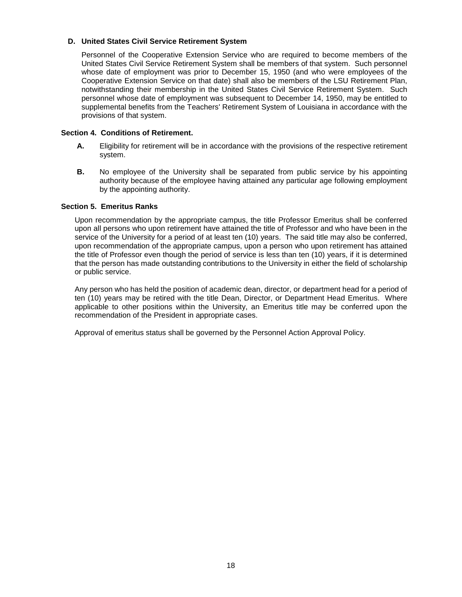# **D. United States Civil Service Retirement System**

Personnel of the Cooperative Extension Service who are required to become members of the United States Civil Service Retirement System shall be members of that system. Such personnel whose date of employment was prior to December 15, 1950 (and who were employees of the Cooperative Extension Service on that date) shall also be members of the LSU Retirement Plan, notwithstanding their membership in the United States Civil Service Retirement System. Such personnel whose date of employment was subsequent to December 14, 1950, may be entitled to supplemental benefits from the Teachers' Retirement System of Louisiana in accordance with the provisions of that system.

# **Section 4. Conditions of Retirement.**

- **A.** Eligibility for retirement will be in accordance with the provisions of the respective retirement system.
- **B.** No employee of the University shall be separated from public service by his appointing authority because of the employee having attained any particular age following employment by the appointing authority.

## **Section 5. Emeritus Ranks**

Upon recommendation by the appropriate campus, the title Professor Emeritus shall be conferred upon all persons who upon retirement have attained the title of Professor and who have been in the service of the University for a period of at least ten (10) years. The said title may also be conferred, upon recommendation of the appropriate campus, upon a person who upon retirement has attained the title of Professor even though the period of service is less than ten (10) years, if it is determined that the person has made outstanding contributions to the University in either the field of scholarship or public service.

Any person who has held the position of academic dean, director, or department head for a period of ten (10) years may be retired with the title Dean, Director, or Department Head Emeritus. Where applicable to other positions within the University, an Emeritus title may be conferred upon the recommendation of the President in appropriate cases.

Approval of emeritus status shall be governed by the Personnel Action Approval Policy.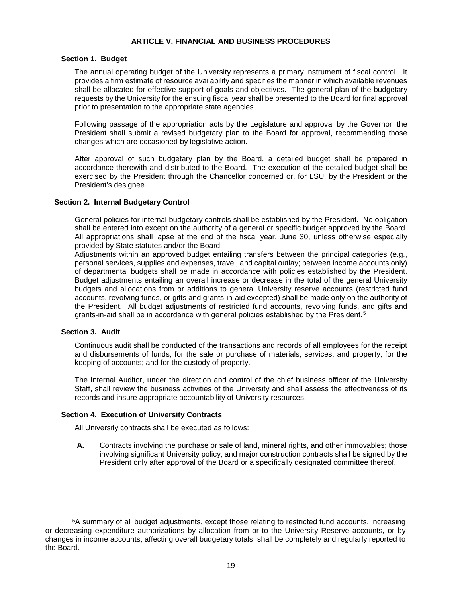# **ARTICLE V. FINANCIAL AND BUSINESS PROCEDURES**

#### <span id="page-20-0"></span>**Section 1. Budget**

The annual operating budget of the University represents a primary instrument of fiscal control. It provides a firm estimate of resource availability and specifies the manner in which available revenues shall be allocated for effective support of goals and objectives. The general plan of the budgetary requests by the University for the ensuing fiscal year shall be presented to the Board for final approval prior to presentation to the appropriate state agencies.

Following passage of the appropriation acts by the Legislature and approval by the Governor, the President shall submit a revised budgetary plan to the Board for approval, recommending those changes which are occasioned by legislative action.

After approval of such budgetary plan by the Board, a detailed budget shall be prepared in accordance therewith and distributed to the Board. The execution of the detailed budget shall be exercised by the President through the Chancellor concerned or, for LSU, by the President or the President's designee.

## **Section 2. Internal Budgetary Control**

General policies for internal budgetary controls shall be established by the President. No obligation shall be entered into except on the authority of a general or specific budget approved by the Board. All appropriations shall lapse at the end of the fiscal year, June 30, unless otherwise especially provided by State statutes and/or the Board.

Adjustments within an approved budget entailing transfers between the principal categories (e.g., personal services, supplies and expenses, travel, and capital outlay; between income accounts only) of departmental budgets shall be made in accordance with policies established by the President. Budget adjustments entailing an overall increase or decrease in the total of the general University budgets and allocations from or additions to general University reserve accounts (restricted fund accounts, revolving funds, or gifts and grants-in-aid excepted) shall be made only on the authority of the President. All budget adjustments of restricted fund accounts, revolving funds, and gifts and grants-in-aid shall be in accordance with general policies established by the President.[5](#page-20-1)

## **Section 3. Audit**

 $\overline{a}$ 

Continuous audit shall be conducted of the transactions and records of all employees for the receipt and disbursements of funds; for the sale or purchase of materials, services, and property; for the keeping of accounts; and for the custody of property.

The Internal Auditor, under the direction and control of the chief business officer of the University Staff, shall review the business activities of the University and shall assess the effectiveness of its records and insure appropriate accountability of University resources.

## **Section 4. Execution of University Contracts**

All University contracts shall be executed as follows:

**A.** Contracts involving the purchase or sale of land, mineral rights, and other immovables; those involving significant University policy; and major construction contracts shall be signed by the President only after approval of the Board or a specifically designated committee thereof.

<span id="page-20-1"></span><sup>5</sup>A summary of all budget adjustments, except those relating to restricted fund accounts, increasing or decreasing expenditure authorizations by allocation from or to the University Reserve accounts, or by changes in income accounts, affecting overall budgetary totals, shall be completely and regularly reported to the Board.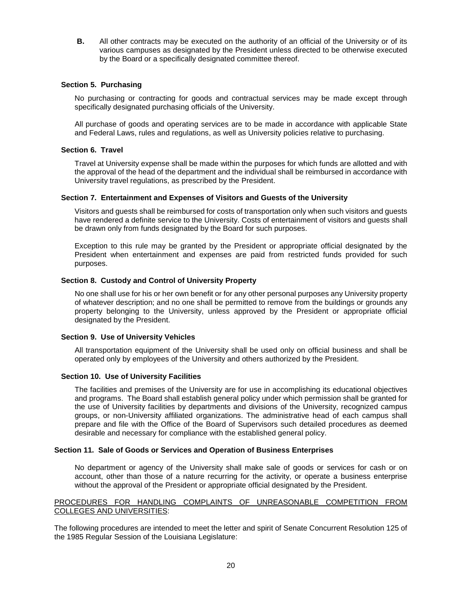**B.** All other contracts may be executed on the authority of an official of the University or of its various campuses as designated by the President unless directed to be otherwise executed by the Board or a specifically designated committee thereof.

## **Section 5. Purchasing**

No purchasing or contracting for goods and contractual services may be made except through specifically designated purchasing officials of the University.

All purchase of goods and operating services are to be made in accordance with applicable State and Federal Laws, rules and regulations, as well as University policies relative to purchasing.

## **Section 6. Travel**

Travel at University expense shall be made within the purposes for which funds are allotted and with the approval of the head of the department and the individual shall be reimbursed in accordance with University travel regulations, as prescribed by the President.

# **Section 7. Entertainment and Expenses of Visitors and Guests of the University**

Visitors and guests shall be reimbursed for costs of transportation only when such visitors and guests have rendered a definite service to the University. Costs of entertainment of visitors and guests shall be drawn only from funds designated by the Board for such purposes.

Exception to this rule may be granted by the President or appropriate official designated by the President when entertainment and expenses are paid from restricted funds provided for such purposes.

# **Section 8. Custody and Control of University Property**

No one shall use for his or her own benefit or for any other personal purposes any University property of whatever description; and no one shall be permitted to remove from the buildings or grounds any property belonging to the University, unless approved by the President or appropriate official designated by the President.

## **Section 9. Use of University Vehicles**

All transportation equipment of the University shall be used only on official business and shall be operated only by employees of the University and others authorized by the President.

## **Section 10. Use of University Facilities**

The facilities and premises of the University are for use in accomplishing its educational objectives and programs. The Board shall establish general policy under which permission shall be granted for the use of University facilities by departments and divisions of the University, recognized campus groups, or non-University affiliated organizations. The administrative head of each campus shall prepare and file with the Office of the Board of Supervisors such detailed procedures as deemed desirable and necessary for compliance with the established general policy.

## **Section 11. Sale of Goods or Services and Operation of Business Enterprises**

No department or agency of the University shall make sale of goods or services for cash or on account, other than those of a nature recurring for the activity, or operate a business enterprise without the approval of the President or appropriate official designated by the President.

# PROCEDURES FOR HANDLING COMPLAINTS OF UNREASONABLE COMPETITION FROM COLLEGES AND UNIVERSITIES:

The following procedures are intended to meet the letter and spirit of Senate Concurrent Resolution 125 of the 1985 Regular Session of the Louisiana Legislature: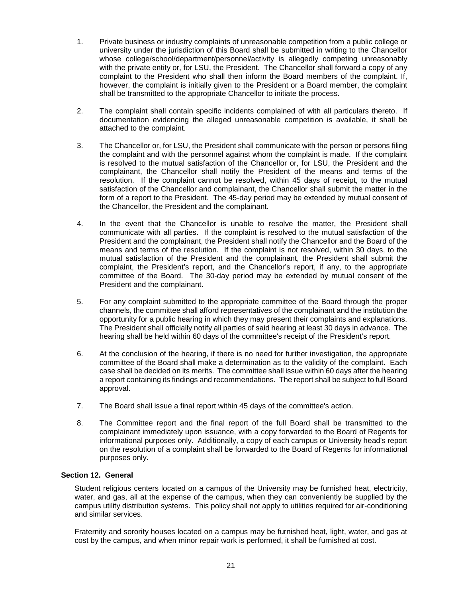- 1. Private business or industry complaints of unreasonable competition from a public college or university under the jurisdiction of this Board shall be submitted in writing to the Chancellor whose college/school/department/personnel/activity is allegedly competing unreasonably with the private entity or, for LSU, the President. The Chancellor shall forward a copy of any complaint to the President who shall then inform the Board members of the complaint. If, however, the complaint is initially given to the President or a Board member, the complaint shall be transmitted to the appropriate Chancellor to initiate the process.
- 2. The complaint shall contain specific incidents complained of with all particulars thereto. If documentation evidencing the alleged unreasonable competition is available, it shall be attached to the complaint.
- 3. The Chancellor or, for LSU, the President shall communicate with the person or persons filing the complaint and with the personnel against whom the complaint is made. If the complaint is resolved to the mutual satisfaction of the Chancellor or, for LSU, the President and the complainant, the Chancellor shall notify the President of the means and terms of the resolution. If the complaint cannot be resolved, within 45 days of receipt, to the mutual satisfaction of the Chancellor and complainant, the Chancellor shall submit the matter in the form of a report to the President. The 45-day period may be extended by mutual consent of the Chancellor, the President and the complainant.
- 4. In the event that the Chancellor is unable to resolve the matter, the President shall communicate with all parties. If the complaint is resolved to the mutual satisfaction of the President and the complainant, the President shall notify the Chancellor and the Board of the means and terms of the resolution. If the complaint is not resolved, within 30 days, to the mutual satisfaction of the President and the complainant, the President shall submit the complaint, the President's report, and the Chancellor's report, if any, to the appropriate committee of the Board. The 30-day period may be extended by mutual consent of the President and the complainant.
- 5. For any complaint submitted to the appropriate committee of the Board through the proper channels, the committee shall afford representatives of the complainant and the institution the opportunity for a public hearing in which they may present their complaints and explanations. The President shall officially notify all parties of said hearing at least 30 days in advance. The hearing shall be held within 60 days of the committee's receipt of the President's report.
- 6. At the conclusion of the hearing, if there is no need for further investigation, the appropriate committee of the Board shall make a determination as to the validity of the complaint. Each case shall be decided on its merits. The committee shall issue within 60 days after the hearing a report containing its findings and recommendations. The report shall be subject to full Board approval.
- 7. The Board shall issue a final report within 45 days of the committee's action.
- 8. The Committee report and the final report of the full Board shall be transmitted to the complainant immediately upon issuance, with a copy forwarded to the Board of Regents for informational purposes only. Additionally, a copy of each campus or University head's report on the resolution of a complaint shall be forwarded to the Board of Regents for informational purposes only.

## **Section 12. General**

Student religious centers located on a campus of the University may be furnished heat, electricity, water, and gas, all at the expense of the campus, when they can conveniently be supplied by the campus utility distribution systems. This policy shall not apply to utilities required for air-conditioning and similar services.

Fraternity and sorority houses located on a campus may be furnished heat, light, water, and gas at cost by the campus, and when minor repair work is performed, it shall be furnished at cost.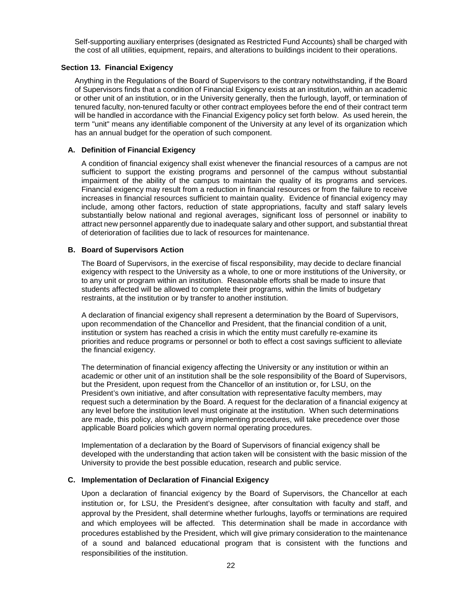Self-supporting auxiliary enterprises (designated as Restricted Fund Accounts) shall be charged with the cost of all utilities, equipment, repairs, and alterations to buildings incident to their operations.

# **Section 13. Financial Exigency**

Anything in the Regulations of the Board of Supervisors to the contrary notwithstanding, if the Board of Supervisors finds that a condition of Financial Exigency exists at an institution, within an academic or other unit of an institution, or in the University generally, then the furlough, layoff, or termination of tenured faculty, non-tenured faculty or other contract employees before the end of their contract term will be handled in accordance with the Financial Exigency policy set forth below. As used herein, the term "unit" means any identifiable component of the University at any level of its organization which has an annual budget for the operation of such component.

# **A. Definition of Financial Exigency**

A condition of financial exigency shall exist whenever the financial resources of a campus are not sufficient to support the existing programs and personnel of the campus without substantial impairment of the ability of the campus to maintain the quality of its programs and services. Financial exigency may result from a reduction in financial resources or from the failure to receive increases in financial resources sufficient to maintain quality. Evidence of financial exigency may include, among other factors, reduction of state appropriations, faculty and staff salary levels substantially below national and regional averages, significant loss of personnel or inability to attract new personnel apparently due to inadequate salary and other support, and substantial threat of deterioration of facilities due to lack of resources for maintenance.

# **B. Board of Supervisors Action**

The Board of Supervisors, in the exercise of fiscal responsibility, may decide to declare financial exigency with respect to the University as a whole, to one or more institutions of the University, or to any unit or program within an institution. Reasonable efforts shall be made to insure that students affected will be allowed to complete their programs, within the limits of budgetary restraints, at the institution or by transfer to another institution.

A declaration of financial exigency shall represent a determination by the Board of Supervisors, upon recommendation of the Chancellor and President, that the financial condition of a unit, institution or system has reached a crisis in which the entity must carefully re-examine its priorities and reduce programs or personnel or both to effect a cost savings sufficient to alleviate the financial exigency.

The determination of financial exigency affecting the University or any institution or within an academic or other unit of an institution shall be the sole responsibility of the Board of Supervisors, but the President, upon request from the Chancellor of an institution or, for LSU, on the President's own initiative, and after consultation with representative faculty members, may request such a determination by the Board. A request for the declaration of a financial exigency at any level before the institution level must originate at the institution. When such determinations are made, this policy, along with any implementing procedures, will take precedence over those applicable Board policies which govern normal operating procedures.

Implementation of a declaration by the Board of Supervisors of financial exigency shall be developed with the understanding that action taken will be consistent with the basic mission of the University to provide the best possible education, research and public service.

## **C. Implementation of Declaration of Financial Exigency**

Upon a declaration of financial exigency by the Board of Supervisors, the Chancellor at each institution or, for LSU, the President's designee, after consultation with faculty and staff, and approval by the President, shall determine whether furloughs, layoffs or terminations are required and which employees will be affected. This determination shall be made in accordance with procedures established by the President, which will give primary consideration to the maintenance of a sound and balanced educational program that is consistent with the functions and responsibilities of the institution.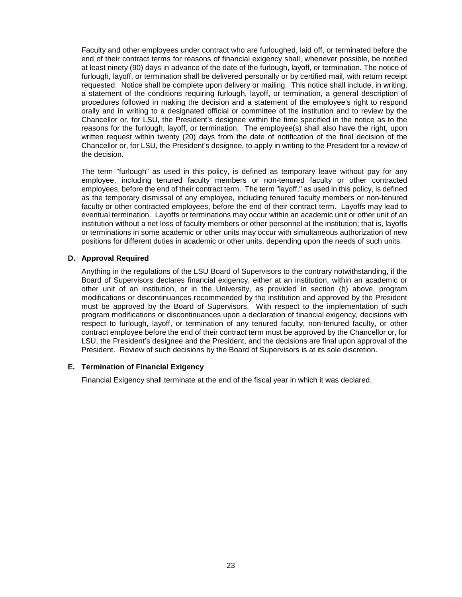Faculty and other employees under contract who are furloughed, laid off, or terminated before the end of their contract terms for reasons of financial exigency shall, whenever possible, be notified at least ninety (90) days in advance of the date of the furlough, layoff, or termination. The notice of furlough, layoff, or termination shall be delivered personally or by certified mail, with return receipt requested. Notice shall be complete upon delivery or mailing. This notice shall include, in writing, a statement of the conditions requiring furlough, layoff, or termination, a general description of procedures followed in making the decision and a statement of the employee's right to respond orally and in writing to a designated official or committee of the institution and to review by the Chancellor or, for LSU, the President's designee within the time specified in the notice as to the reasons for the furlough, layoff, or termination. The employee(s) shall also have the right, upon written request within twenty (20) days from the date of notification of the final decision of the Chancellor or, for LSU, the President's designee, to apply in writing to the President for a review of the decision.

The term "furlough" as used in this policy, is defined as temporary leave without pay for any employee, including tenured faculty members or non-tenured faculty or other contracted employees, before the end of their contract term. The term "layoff," as used in this policy, is defined as the temporary dismissal of any employee, including tenured faculty members or non-tenured faculty or other contracted employees, before the end of their contract term. Layoffs may lead to eventual termination. Layoffs or terminations may occur within an academic unit or other unit of an institution without a net loss of faculty members or other personnel at the institution; that is, layoffs or terminations in some academic or other units may occur with simultaneous authorization of new positions for different duties in academic or other units, depending upon the needs of such units.

# **D. Approval Required**

Anything in the regulations of the LSU Board of Supervisors to the contrary notwithstanding, if the Board of Supervisors declares financial exigency, either at an institution, within an academic or other unit of an institution, or in the University, as provided in section (b) above, program modifications or discontinuances recommended by the institution and approved by the President must be approved by the Board of Supervisors. With respect to the implementation of such program modifications or discontinuances upon a declaration of financial exigency, decisions with respect to furlough, layoff, or termination of any tenured faculty, non-tenured faculty, or other contract employee before the end of their contract term must be approved by the Chancellor or, for LSU, the President's designee and the President, and the decisions are final upon approval of the President. Review of such decisions by the Board of Supervisors is at its sole discretion.

# **E. Termination of Financial Exigency**

Financial Exigency shall terminate at the end of the fiscal year in which it was declared.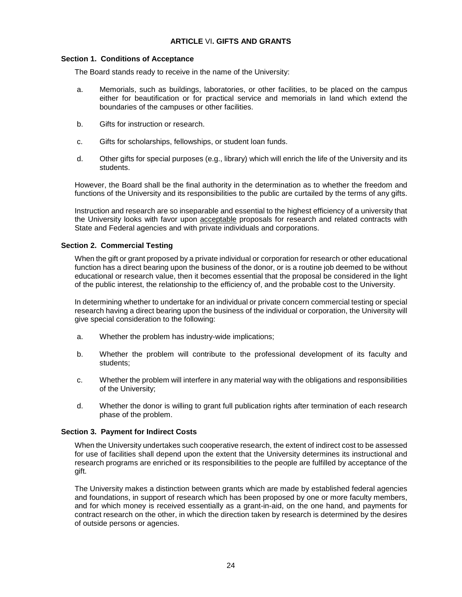# **ARTICLE** VI**. GIFTS AND GRANTS**

#### <span id="page-25-0"></span>**Section 1. Conditions of Acceptance**

The Board stands ready to receive in the name of the University:

- a. Memorials, such as buildings, laboratories, or other facilities, to be placed on the campus either for beautification or for practical service and memorials in land which extend the boundaries of the campuses or other facilities.
- b. Gifts for instruction or research.
- c. Gifts for scholarships, fellowships, or student loan funds.
- d. Other gifts for special purposes (e.g., library) which will enrich the life of the University and its students.

However, the Board shall be the final authority in the determination as to whether the freedom and functions of the University and its responsibilities to the public are curtailed by the terms of any gifts.

Instruction and research are so inseparable and essential to the highest efficiency of a university that the University looks with favor upon acceptable proposals for research and related contracts with State and Federal agencies and with private individuals and corporations.

# **Section 2. Commercial Testing**

When the gift or grant proposed by a private individual or corporation for research or other educational function has a direct bearing upon the business of the donor, or is a routine job deemed to be without educational or research value, then it becomes essential that the proposal be considered in the light of the public interest, the relationship to the efficiency of, and the probable cost to the University.

In determining whether to undertake for an individual or private concern commercial testing or special research having a direct bearing upon the business of the individual or corporation, the University will give special consideration to the following:

- a. Whether the problem has industry-wide implications;
- b. Whether the problem will contribute to the professional development of its faculty and students;
- c. Whether the problem will interfere in any material way with the obligations and responsibilities of the University;
- d. Whether the donor is willing to grant full publication rights after termination of each research phase of the problem.

## **Section 3. Payment for Indirect Costs**

When the University undertakes such cooperative research, the extent of indirect cost to be assessed for use of facilities shall depend upon the extent that the University determines its instructional and research programs are enriched or its responsibilities to the people are fulfilled by acceptance of the gift.

The University makes a distinction between grants which are made by established federal agencies and foundations, in support of research which has been proposed by one or more faculty members, and for which money is received essentially as a grant-in-aid, on the one hand, and payments for contract research on the other, in which the direction taken by research is determined by the desires of outside persons or agencies.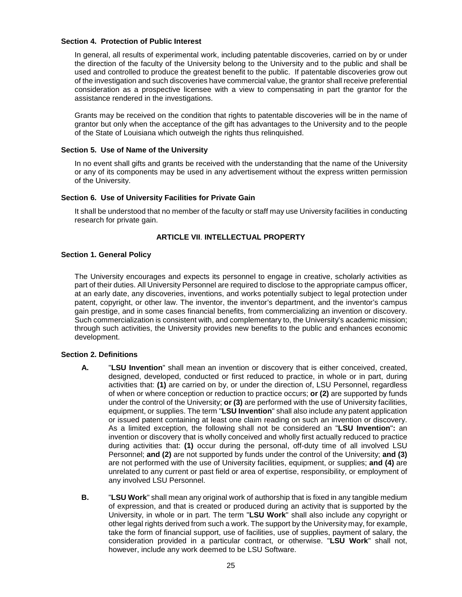## **Section 4. Protection of Public Interest**

In general, all results of experimental work, including patentable discoveries, carried on by or under the direction of the faculty of the University belong to the University and to the public and shall be used and controlled to produce the greatest benefit to the public. If patentable discoveries grow out of the investigation and such discoveries have commercial value, the grantor shall receive preferential consideration as a prospective licensee with a view to compensating in part the grantor for the assistance rendered in the investigations.

Grants may be received on the condition that rights to patentable discoveries will be in the name of grantor but only when the acceptance of the gift has advantages to the University and to the people of the State of Louisiana which outweigh the rights thus relinquished.

## **Section 5. Use of Name of the University**

In no event shall gifts and grants be received with the understanding that the name of the University or any of its components may be used in any advertisement without the express written permission of the University.

# **Section 6. Use of University Facilities for Private Gain**

It shall be understood that no member of the faculty or staff may use University facilities in conducting research for private gain.

# **ARTICLE VII**. **INTELLECTUAL PROPERTY**

# <span id="page-26-0"></span>**Section 1. General Policy**

The University encourages and expects its personnel to engage in creative, scholarly activities as part of their duties. All University Personnel are required to disclose to the appropriate campus officer, at an early date, any discoveries, inventions, and works potentially subject to legal protection under patent, copyright, or other law. The inventor, the inventor's department, and the inventor's campus gain prestige, and in some cases financial benefits, from commercializing an invention or discovery. Such commercialization is consistent with, and complementary to, the University's academic mission; through such activities, the University provides new benefits to the public and enhances economic development.

# **Section 2. Definitions**

- **A.** "**LSU Invention**" shall mean an invention or discovery that is either conceived, created, designed, developed, conducted or first reduced to practice, in whole or in part, during activities that: **(1)** are carried on by, or under the direction of, LSU Personnel, regardless of when or where conception or reduction to practice occurs; **or (2)** are supported by funds under the control of the University; **or (3)** are performed with the use of University facilities, equipment, or supplies. The term "**LSU Invention**" shall also include any patent application or issued patent containing at least one claim reading on such an invention or discovery. As a limited exception, the following shall not be considered an "**LSU Invention**"**:** an invention or discovery that is wholly conceived and wholly first actually reduced to practice during activities that: **(1)** occur during the personal, off-duty time of all involved LSU Personnel; **and (2)** are not supported by funds under the control of the University; **and (3)** are not performed with the use of University facilities, equipment, or supplies; **and (4)** are unrelated to any current or past field or area of expertise, responsibility, or employment of any involved LSU Personnel.
- **B.** "**LSU Work**" shall mean any original work of authorship that is fixed in any tangible medium of expression, and that is created or produced during an activity that is supported by the University, in whole or in part. The term "**LSU Work**" shall also include any copyright or other legal rights derived from such a work. The support by the University may, for example, take the form of financial support, use of facilities, use of supplies, payment of salary, the consideration provided in a particular contract, or otherwise. "**LSU Work**" shall not, however, include any work deemed to be LSU Software.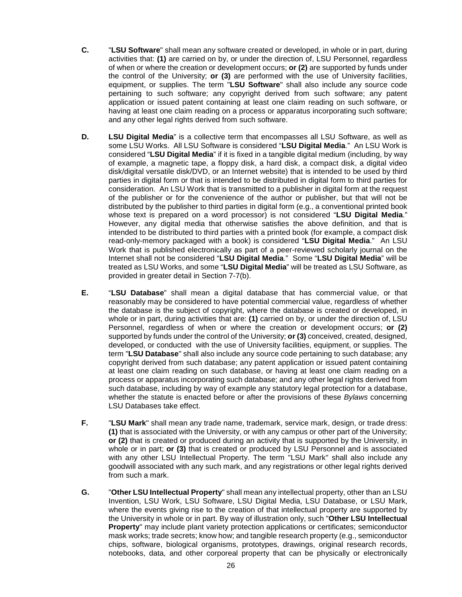- **C.** "**LSU Software**" shall mean any software created or developed, in whole or in part, during activities that: **(1)** are carried on by, or under the direction of, LSU Personnel, regardless of when or where the creation or development occurs; **or (2)** are supported by funds under the control of the University; **or (3)** are performed with the use of University facilities, equipment, or supplies. The term "**LSU Software**" shall also include any source code pertaining to such software; any copyright derived from such software; any patent application or issued patent containing at least one claim reading on such software, or having at least one claim reading on a process or apparatus incorporating such software; and any other legal rights derived from such software.
- **D. LSU Digital Media**" is a collective term that encompasses all LSU Software, as well as some LSU Works. All LSU Software is considered "**LSU Digital Media**." An LSU Work is considered "**LSU Digital Media**" if it is fixed in a tangible digital medium (including, by way of example, a magnetic tape, a floppy disk, a hard disk, a compact disk, a digital video disk/digital versatile disk/DVD, or an Internet website) that is intended to be used by third parties in digital form or that is intended to be distributed in digital form to third parties for consideration. An LSU Work that is transmitted to a publisher in digital form at the request of the publisher or for the convenience of the author or publisher, but that will not be distributed by the publisher to third parties in digital form (e.g., a conventional printed book whose text is prepared on a word processor) is not considered "**LSU Digital Media**." However, any digital media that otherwise satisfies the above definition, and that is intended to be distributed to third parties with a printed book (for example, a compact disk read-only-memory packaged with a book) is considered "**LSU Digital Media**." An LSU Work that is published electronically as part of a peer-reviewed scholarly journal on the Internet shall not be considered "**LSU Digital Media**." Some "**LSU Digital Media**" will be treated as LSU Works, and some "**LSU Digital Media**" will be treated as LSU Software, as provided in greater detail in Section 7-7(b).
- **E.** "**LSU Database**" shall mean a digital database that has commercial value, or that reasonably may be considered to have potential commercial value, regardless of whether the database is the subject of copyright, where the database is created or developed, in whole or in part, during activities that are: **(1)** carried on by, or under the direction of, LSU Personnel, regardless of when or where the creation or development occurs; **or (2)** supported by funds under the control of the University; **or (3)** conceived, created, designed, developed, or conducted with the use of University facilities, equipment, or supplies. The term "**LSU Database**" shall also include any source code pertaining to such database; any copyright derived from such database; any patent application or issued patent containing at least one claim reading on such database, or having at least one claim reading on a process or apparatus incorporating such database; and any other legal rights derived from such database, including by way of example any statutory legal protection for a database, whether the statute is enacted before or after the provisions of these *Bylaws* concerning LSU Databases take effect.
- **F.** "**LSU Mark**" shall mean any trade name, trademark, service mark, design, or trade dress: **(1)** that is associated with the University, or with any campus or other part of the University; **or (2)** that is created or produced during an activity that is supported by the University, in whole or in part; **or (3)** that is created or produced by LSU Personnel and is associated with any other LSU Intellectual Property. The term "LSU Mark" shall also include any goodwill associated with any such mark, and any registrations or other legal rights derived from such a mark.
- **G.** "**Other LSU Intellectual Property**" shall mean any intellectual property, other than an LSU Invention, LSU Work, LSU Software, LSU Digital Media, LSU Database, or LSU Mark, where the events giving rise to the creation of that intellectual property are supported by the University in whole or in part. By way of illustration only, such "**Other LSU Intellectual Property**" may include plant variety protection applications or certificates; semiconductor mask works; trade secrets; know how; and tangible research property (e.g., semiconductor chips, software, biological organisms, prototypes, drawings, original research records, notebooks, data, and other corporeal property that can be physically or electronically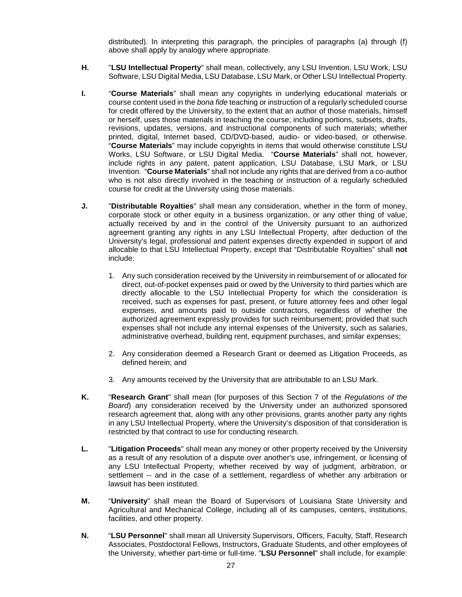distributed). In interpreting this paragraph, the principles of paragraphs (a) through (f) above shall apply by analogy where appropriate.

- **H.** "**LSU Intellectual Property**" shall mean, collectively, any LSU Invention, LSU Work, LSU Software, LSU Digital Media, LSU Database, LSU Mark, or Other LSU Intellectual Property.
- **I.** "**Course Materials**" shall mean any copyrights in underlying educational materials or course content used in the *bona fide* teaching or instruction of a regularly scheduled course for credit offered by the University, to the extent that an author of those materials, himself or herself, uses those materials in teaching the course; including portions, subsets, drafts, revisions, updates, versions, and instructional components of such materials; whether printed, digital, Internet based, CD/DVD-based, audio- or video-based, or otherwise. "**Course Materials**" may include copyrights in items that would otherwise constitute LSU Works, LSU Software, or LSU Digital Media. "**Course Materials**" shall not, however, include rights in any patent, patent application, LSU Database, LSU Mark, or LSU Invention. "**Course Materials**" shall not include any rights that are derived from a co-author who is not also directly involved in the teaching or instruction of a regularly scheduled course for credit at the University using those materials.
- **J.** "**Distributable Royalties**" shall mean any consideration, whether in the form of money, corporate stock or other equity in a business organization, or any other thing of value, actually received by and in the control of the University pursuant to an authorized agreement granting any rights in any LSU Intellectual Property, after deduction of the University's legal, professional and patent expenses directly expended in support of and allocable to that LSU Intellectual Property, except that "Distributable Royalties" shall **not** include:
	- 1. Any such consideration received by the University in reimbursement of or allocated for direct, out-of-pocket expenses paid or owed by the University to third parties which are directly allocable to the LSU Intellectual Property for which the consideration is received, such as expenses for past, present, or future attorney fees and other legal expenses, and amounts paid to outside contractors, regardless of whether the authorized agreement expressly provides for such reimbursement; provided that such expenses shall not include any internal expenses of the University, such as salaries, administrative overhead, building rent, equipment purchases, and similar expenses;
	- 2. Any consideration deemed a Research Grant or deemed as Litigation Proceeds, as defined herein; and
	- 3. Any amounts received by the University that are attributable to an LSU Mark.
- **K.** "**Research Grant**" shall mean (for purposes of this Section 7 of the *Regulations of the Board*) any consideration received by the University under an authorized sponsored research agreement that, along with any other provisions, grants another party any rights in any LSU Intellectual Property, where the University's disposition of that consideration is restricted by that contract to use for conducting research.
- **L.** "**Litigation Proceeds**" shall mean any money or other property received by the University as a result of any resolution of a dispute over another's use, infringement, or licensing of any LSU Intellectual Property, whether received by way of judgment, arbitration, or settlement -- and in the case of a settlement, regardless of whether any arbitration or lawsuit has been instituted.
- **M.** "**University**" shall mean the Board of Supervisors of Louisiana State University and Agricultural and Mechanical College, including all of its campuses, centers, institutions, facilities, and other property.
- **N.** "**LSU Personnel**" shall mean all University Supervisors, Officers, Faculty, Staff, Research Associates, Postdoctoral Fellows, Instructors, Graduate Students, and other employees of the University, whether part-time or full-time. "**LSU Personnel**" shall include, for example: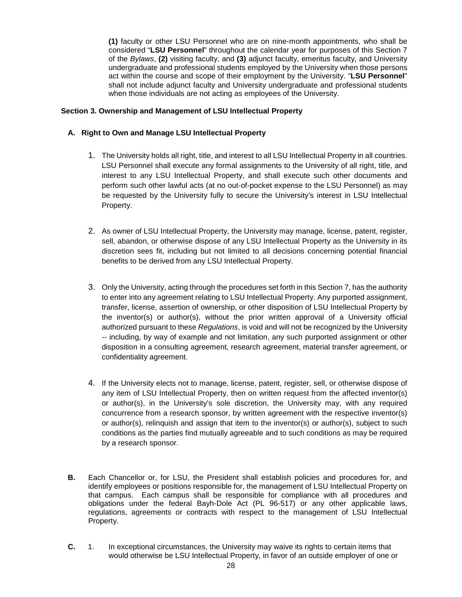**(1)** faculty or other LSU Personnel who are on nine-month appointments, who shall be considered "**LSU Personnel**" throughout the calendar year for purposes of this Section 7 of the *Bylaws*, **(2)** visiting faculty, and **(3)** adjunct faculty, emeritus faculty, and University undergraduate and professional students employed by the University when those persons act within the course and scope of their employment by the University. "**LSU Personnel**" shall not include adjunct faculty and University undergraduate and professional students when those individuals are not acting as employees of the University.

# **Section 3. Ownership and Management of LSU Intellectual Property**

# **A. Right to Own and Manage LSU Intellectual Property**

- 1. The University holds all right, title, and interest to all LSU Intellectual Property in all countries. LSU Personnel shall execute any formal assignments to the University of all right, title, and interest to any LSU Intellectual Property, and shall execute such other documents and perform such other lawful acts (at no out-of-pocket expense to the LSU Personnel) as may be requested by the University fully to secure the University's interest in LSU Intellectual Property.
- 2. As owner of LSU Intellectual Property, the University may manage, license, patent, register, sell, abandon, or otherwise dispose of any LSU Intellectual Property as the University in its discretion sees fit, including but not limited to all decisions concerning potential financial benefits to be derived from any LSU Intellectual Property.
- 3. Only the University, acting through the procedures set forth in this Section 7, has the authority to enter into any agreement relating to LSU Intellectual Property. Any purported assignment, transfer, license, assertion of ownership, or other disposition of LSU Intellectual Property by the inventor(s) or author(s), without the prior written approval of a University official authorized pursuant to these *Regulations*, is void and will not be recognized by the University -- including, by way of example and not limitation, any such purported assignment or other disposition in a consulting agreement, research agreement, material transfer agreement, or confidentiality agreement.
- 4. If the University elects not to manage, license, patent, register, sell, or otherwise dispose of any item of LSU Intellectual Property, then on written request from the affected inventor(s) or author(s), in the University's sole discretion, the University may, with any required concurrence from a research sponsor, by written agreement with the respective inventor(s) or author(s), relinquish and assign that item to the inventor(s) or author(s), subject to such conditions as the parties find mutually agreeable and to such conditions as may be required by a research sponsor.
- **B.** Each Chancellor or, for LSU, the President shall establish policies and procedures for, and identify employees or positions responsible for, the management of LSU Intellectual Property on that campus. Each campus shall be responsible for compliance with all procedures and obligations under the federal Bayh-Dole Act (PL 96-517) or any other applicable laws, regulations, agreements or contracts with respect to the management of LSU Intellectual Property.
- **C.** 1. In exceptional circumstances, the University may waive its rights to certain items that would otherwise be LSU Intellectual Property, in favor of an outside employer of one or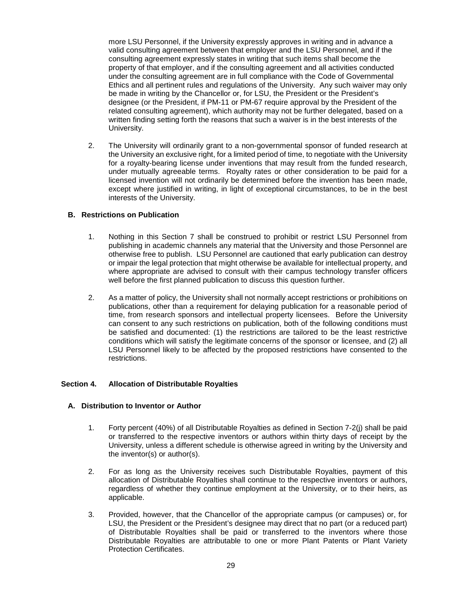more LSU Personnel, if the University expressly approves in writing and in advance a valid consulting agreement between that employer and the LSU Personnel, and if the consulting agreement expressly states in writing that such items shall become the property of that employer, and if the consulting agreement and all activities conducted under the consulting agreement are in full compliance with the Code of Governmental Ethics and all pertinent rules and regulations of the University. Any such waiver may only be made in writing by the Chancellor or, for LSU, the President or the President's designee (or the President, if PM-11 or PM-67 require approval by the President of the related consulting agreement), which authority may not be further delegated, based on a written finding setting forth the reasons that such a waiver is in the best interests of the University.

2. The University will ordinarily grant to a non-governmental sponsor of funded research at the University an exclusive right, for a limited period of time, to negotiate with the University for a royalty-bearing license under inventions that may result from the funded research, under mutually agreeable terms. Royalty rates or other consideration to be paid for a licensed invention will not ordinarily be determined before the invention has been made, except where justified in writing, in light of exceptional circumstances, to be in the best interests of the University.

# **B. Restrictions on Publication**

- 1. Nothing in this Section 7 shall be construed to prohibit or restrict LSU Personnel from publishing in academic channels any material that the University and those Personnel are otherwise free to publish. LSU Personnel are cautioned that early publication can destroy or impair the legal protection that might otherwise be available for intellectual property, and where appropriate are advised to consult with their campus technology transfer officers well before the first planned publication to discuss this question further.
- 2. As a matter of policy, the University shall not normally accept restrictions or prohibitions on publications, other than a requirement for delaying publication for a reasonable period of time, from research sponsors and intellectual property licensees. Before the University can consent to any such restrictions on publication, both of the following conditions must be satisfied and documented: (1) the restrictions are tailored to be the least restrictive conditions which will satisfy the legitimate concerns of the sponsor or licensee, and (2) all LSU Personnel likely to be affected by the proposed restrictions have consented to the restrictions.

## **Section 4. Allocation of Distributable Royalties**

## **A. Distribution to Inventor or Author**

- 1. Forty percent (40%) of all Distributable Royalties as defined in Section 7-2(j) shall be paid or transferred to the respective inventors or authors within thirty days of receipt by the University, unless a different schedule is otherwise agreed in writing by the University and the inventor(s) or author(s).
- 2. For as long as the University receives such Distributable Royalties, payment of this allocation of Distributable Royalties shall continue to the respective inventors or authors, regardless of whether they continue employment at the University, or to their heirs, as applicable.
- 3. Provided, however, that the Chancellor of the appropriate campus (or campuses) or, for LSU, the President or the President's designee may direct that no part (or a reduced part) of Distributable Royalties shall be paid or transferred to the inventors where those Distributable Royalties are attributable to one or more Plant Patents or Plant Variety Protection Certificates.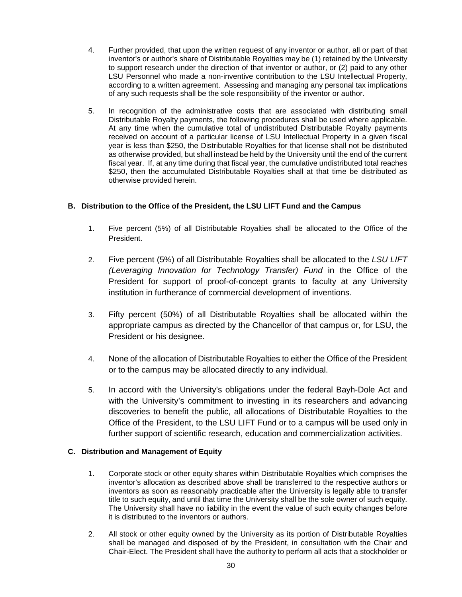- 4. Further provided, that upon the written request of any inventor or author, all or part of that inventor's or author's share of Distributable Royalties may be (1) retained by the University to support research under the direction of that inventor or author, or (2) paid to any other LSU Personnel who made a non-inventive contribution to the LSU Intellectual Property, according to a written agreement. Assessing and managing any personal tax implications of any such requests shall be the sole responsibility of the inventor or author.
- 5. In recognition of the administrative costs that are associated with distributing small Distributable Royalty payments, the following procedures shall be used where applicable. At any time when the cumulative total of undistributed Distributable Royalty payments received on account of a particular license of LSU Intellectual Property in a given fiscal year is less than \$250, the Distributable Royalties for that license shall not be distributed as otherwise provided, but shall instead be held by the University until the end of the current fiscal year. If, at any time during that fiscal year, the cumulative undistributed total reaches \$250, then the accumulated Distributable Royalties shall at that time be distributed as otherwise provided herein.

# **B. Distribution to the Office of the President, the LSU LIFT Fund and the Campus**

- 1. Five percent (5%) of all Distributable Royalties shall be allocated to the Office of the President.
- 2. Five percent (5%) of all Distributable Royalties shall be allocated to the *LSU LIFT (Leveraging Innovation for Technology Transfer) Fund* in the Office of the President for support of proof-of-concept grants to faculty at any University institution in furtherance of commercial development of inventions.
- 3. Fifty percent (50%) of all Distributable Royalties shall be allocated within the appropriate campus as directed by the Chancellor of that campus or, for LSU, the President or his designee.
- 4. None of the allocation of Distributable Royalties to either the Office of the President or to the campus may be allocated directly to any individual.
- 5. In accord with the University's obligations under the federal Bayh-Dole Act and with the University's commitment to investing in its researchers and advancing discoveries to benefit the public, all allocations of Distributable Royalties to the Office of the President, to the LSU LIFT Fund or to a campus will be used only in further support of scientific research, education and commercialization activities.

# **C. Distribution and Management of Equity**

- 1. Corporate stock or other equity shares within Distributable Royalties which comprises the inventor's allocation as described above shall be transferred to the respective authors or inventors as soon as reasonably practicable after the University is legally able to transfer title to such equity, and until that time the University shall be the sole owner of such equity. The University shall have no liability in the event the value of such equity changes before it is distributed to the inventors or authors.
- 2. All stock or other equity owned by the University as its portion of Distributable Royalties shall be managed and disposed of by the President, in consultation with the Chair and Chair-Elect. The President shall have the authority to perform all acts that a stockholder or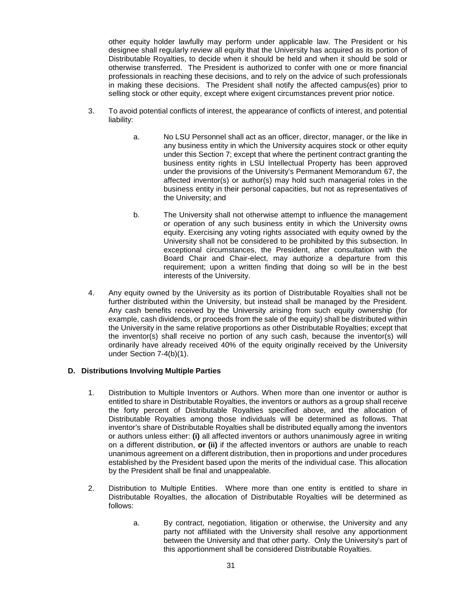other equity holder lawfully may perform under applicable law. The President or his designee shall regularly review all equity that the University has acquired as its portion of Distributable Royalties, to decide when it should be held and when it should be sold or otherwise transferred. The President is authorized to confer with one or more financial professionals in reaching these decisions, and to rely on the advice of such professionals in making these decisions. The President shall notify the affected campus(es) prior to selling stock or other equity, except where exigent circumstances prevent prior notice.

- 3. To avoid potential conflicts of interest, the appearance of conflicts of interest, and potential liability:
	- a. No LSU Personnel shall act as an officer, director, manager, or the like in any business entity in which the University acquires stock or other equity under this Section 7; except that where the pertinent contract granting the business entity rights in LSU Intellectual Property has been approved under the provisions of the University's Permanent Memorandum 67, the affected inventor(s) or author(s) may hold such managerial roles in the business entity in their personal capacities, but not as representatives of the University; and
	- b. The University shall not otherwise attempt to influence the management or operation of any such business entity in which the University owns equity. Exercising any voting rights associated with equity owned by the University shall not be considered to be prohibited by this subsection. In exceptional circumstances, the President, after consultation with the Board Chair and Chair-elect, may authorize a departure from this requirement; upon a written finding that doing so will be in the best interests of the University.
- 4. Any equity owned by the University as its portion of Distributable Royalties shall not be further distributed within the University, but instead shall be managed by the President. Any cash benefits received by the University arising from such equity ownership (for example, cash dividends, or proceeds from the sale of the equity) shall be distributed within the University in the same relative proportions as other Distributable Royalties; except that the inventor(s) shall receive no portion of any such cash, because the inventor(s) will ordinarily have already received 40% of the equity originally received by the University under Section 7-4(b)(1).

# **D. Distributions Involving Multiple Parties**

- 1. Distribution to Multiple Inventors or Authors. When more than one inventor or author is entitled to share in Distributable Royalties, the inventors or authors as a group shall receive the forty percent of Distributable Royalties specified above, and the allocation of Distributable Royalties among those individuals will be determined as follows. That inventor's share of Distributable Royalties shall be distributed equally among the inventors or authors unless either: **(i)** all affected inventors or authors unanimously agree in writing on a different distribution, **or (ii)** if the affected inventors or authors are unable to reach unanimous agreement on a different distribution, then in proportions and under procedures established by the President based upon the merits of the individual case. This allocation by the President shall be final and unappealable.
- 2. Distribution to Multiple Entities. Where more than one entity is entitled to share in Distributable Royalties, the allocation of Distributable Royalties will be determined as follows:
	- a. By contract, negotiation, litigation or otherwise, the University and any party not affiliated with the University shall resolve any apportionment between the University and that other party. Only the University's part of this apportionment shall be considered Distributable Royalties.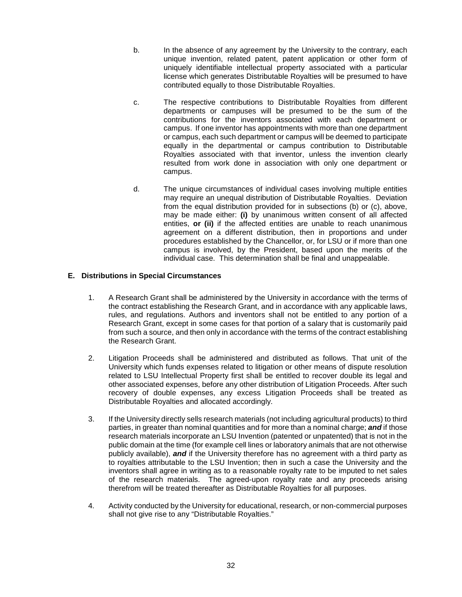- b. In the absence of any agreement by the University to the contrary, each unique invention, related patent, patent application or other form of uniquely identifiable intellectual property associated with a particular license which generates Distributable Royalties will be presumed to have contributed equally to those Distributable Royalties.
- c. The respective contributions to Distributable Royalties from different departments or campuses will be presumed to be the sum of the contributions for the inventors associated with each department or campus. If one inventor has appointments with more than one department or campus, each such department or campus will be deemed to participate equally in the departmental or campus contribution to Distributable Royalties associated with that inventor, unless the invention clearly resulted from work done in association with only one department or campus.
- d. The unique circumstances of individual cases involving multiple entities may require an unequal distribution of Distributable Royalties. Deviation from the equal distribution provided for in subsections (b) or (c), above, may be made either: **(i)** by unanimous written consent of all affected entities, **or (ii)** if the affected entities are unable to reach unanimous agreement on a different distribution, then in proportions and under procedures established by the Chancellor, or, for LSU or if more than one campus is involved, by the President, based upon the merits of the individual case. This determination shall be final and unappealable.

# **E. Distributions in Special Circumstances**

- 1. A Research Grant shall be administered by the University in accordance with the terms of the contract establishing the Research Grant, and in accordance with any applicable laws, rules, and regulations. Authors and inventors shall not be entitled to any portion of a Research Grant, except in some cases for that portion of a salary that is customarily paid from such a source, and then only in accordance with the terms of the contract establishing the Research Grant.
- 2. Litigation Proceeds shall be administered and distributed as follows. That unit of the University which funds expenses related to litigation or other means of dispute resolution related to LSU Intellectual Property first shall be entitled to recover double its legal and other associated expenses, before any other distribution of Litigation Proceeds. After such recovery of double expenses, any excess Litigation Proceeds shall be treated as Distributable Royalties and allocated accordingly.
- 3. If the University directly sells research materials (not including agricultural products) to third parties, in greater than nominal quantities and for more than a nominal charge; *and* if those research materials incorporate an LSU Invention (patented or unpatented) that is not in the public domain at the time (for example cell lines or laboratory animals that are not otherwise publicly available), *and* if the University therefore has no agreement with a third party as to royalties attributable to the LSU Invention; then in such a case the University and the inventors shall agree in writing as to a reasonable royalty rate to be imputed to net sales of the research materials. The agreed-upon royalty rate and any proceeds arising therefrom will be treated thereafter as Distributable Royalties for all purposes.
- 4. Activity conducted by the University for educational, research, or non-commercial purposes shall not give rise to any "Distributable Royalties."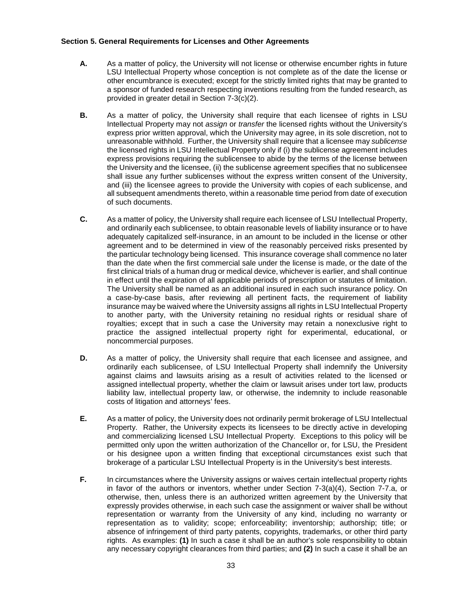## **Section 5. General Requirements for Licenses and Other Agreements**

- **A.** As a matter of policy, the University will not license or otherwise encumber rights in future LSU Intellectual Property whose conception is not complete as of the date the license or other encumbrance is executed; except for the strictly limited rights that may be granted to a sponsor of funded research respecting inventions resulting from the funded research, as provided in greater detail in Section 7-3(c)(2).
- **B.** As a matter of policy, the University shall require that each licensee of rights in LSU Intellectual Property may not *assign* or *transfer* the licensed rights without the University's express prior written approval, which the University may agree, in its sole discretion, not to unreasonable withhold. Further, the University shall require that a licensee may *sublicense* the licensed rights in LSU Intellectual Property only if (i) the sublicense agreement includes express provisions requiring the sublicensee to abide by the terms of the license between the University and the licensee, (ii) the sublicense agreement specifies that no sublicensee shall issue any further sublicenses without the express written consent of the University, and (iii) the licensee agrees to provide the University with copies of each sublicense, and all subsequent amendments thereto, within a reasonable time period from date of execution of such documents.
- **C.** As a matter of policy, the University shall require each licensee of LSU Intellectual Property, and ordinarily each sublicensee, to obtain reasonable levels of liability insurance or to have adequately capitalized self-insurance, in an amount to be included in the license or other agreement and to be determined in view of the reasonably perceived risks presented by the particular technology being licensed. This insurance coverage shall commence no later than the date when the first commercial sale under the license is made, or the date of the first clinical trials of a human drug or medical device, whichever is earlier, and shall continue in effect until the expiration of all applicable periods of prescription or statutes of limitation. The University shall be named as an additional insured in each such insurance policy. On a case-by-case basis, after reviewing all pertinent facts, the requirement of liability insurance may be waived where the University assigns all rights in LSU Intellectual Property to another party, with the University retaining no residual rights or residual share of royalties; except that in such a case the University may retain a nonexclusive right to practice the assigned intellectual property right for experimental, educational, or noncommercial purposes.
- **D.** As a matter of policy, the University shall require that each licensee and assignee, and ordinarily each sublicensee, of LSU Intellectual Property shall indemnify the University against claims and lawsuits arising as a result of activities related to the licensed or assigned intellectual property, whether the claim or lawsuit arises under tort law, products liability law, intellectual property law, or otherwise, the indemnity to include reasonable costs of litigation and attorneys' fees.
- **E.** As a matter of policy, the University does not ordinarily permit brokerage of LSU Intellectual Property. Rather, the University expects its licensees to be directly active in developing and commercializing licensed LSU Intellectual Property. Exceptions to this policy will be permitted only upon the written authorization of the Chancellor or, for LSU, the President or his designee upon a written finding that exceptional circumstances exist such that brokerage of a particular LSU Intellectual Property is in the University's best interests.
- **F.** In circumstances where the University assigns or waives certain intellectual property rights in favor of the authors or inventors, whether under Section 7-3(a)(4), Section 7-7.a, or otherwise, then, unless there is an authorized written agreement by the University that expressly provides otherwise, in each such case the assignment or waiver shall be without representation or warranty from the University of any kind, including no warranty or representation as to validity; scope; enforceability; inventorship; authorship; title; or absence of infringement of third party patents, copyrights, trademarks, or other third party rights. As examples: **(1)** In such a case it shall be an author's sole responsibility to obtain any necessary copyright clearances from third parties; and **(2)** In such a case it shall be an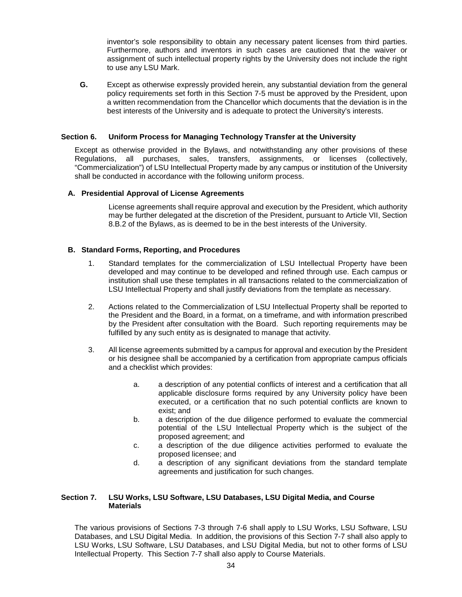inventor's sole responsibility to obtain any necessary patent licenses from third parties. Furthermore, authors and inventors in such cases are cautioned that the waiver or assignment of such intellectual property rights by the University does not include the right to use any LSU Mark.

**G.** Except as otherwise expressly provided herein, any substantial deviation from the general policy requirements set forth in this Section 7-5 must be approved by the President, upon a written recommendation from the Chancellor which documents that the deviation is in the best interests of the University and is adequate to protect the University's interests.

## **Section 6. Uniform Process for Managing Technology Transfer at the University**

Except as otherwise provided in the Bylaws, and notwithstanding any other provisions of these Regulations, all purchases, sales, transfers, assignments, or licenses (collectively, "Commercialization") of LSU Intellectual Property made by any campus or institution of the University shall be conducted in accordance with the following uniform process.

# **A. Presidential Approval of License Agreements**

License agreements shall require approval and execution by the President, which authority may be further delegated at the discretion of the President, pursuant to Article VII, Section 8.B.2 of the Bylaws, as is deemed to be in the best interests of the University.

## **B. Standard Forms, Reporting, and Procedures**

- 1. Standard templates for the commercialization of LSU Intellectual Property have been developed and may continue to be developed and refined through use. Each campus or institution shall use these templates in all transactions related to the commercialization of LSU Intellectual Property and shall justify deviations from the template as necessary.
- 2. Actions related to the Commercialization of LSU Intellectual Property shall be reported to the President and the Board, in a format, on a timeframe, and with information prescribed by the President after consultation with the Board. Such reporting requirements may be fulfilled by any such entity as is designated to manage that activity.
- 3. All license agreements submitted by a campus for approval and execution by the President or his designee shall be accompanied by a certification from appropriate campus officials and a checklist which provides:
	- a. a description of any potential conflicts of interest and a certification that all applicable disclosure forms required by any University policy have been executed, or a certification that no such potential conflicts are known to exist; and
	- b. a description of the due diligence performed to evaluate the commercial potential of the LSU Intellectual Property which is the subject of the proposed agreement; and
	- c. a description of the due diligence activities performed to evaluate the proposed licensee; and
	- d. a description of any significant deviations from the standard template agreements and justification for such changes.

# **Section 7. LSU Works, LSU Software, LSU Databases, LSU Digital Media, and Course Materials**

The various provisions of Sections 7-3 through 7-6 shall apply to LSU Works, LSU Software, LSU Databases, and LSU Digital Media. In addition, the provisions of this Section 7-7 shall also apply to LSU Works, LSU Software, LSU Databases, and LSU Digital Media, but not to other forms of LSU Intellectual Property. This Section 7-7 shall also apply to Course Materials.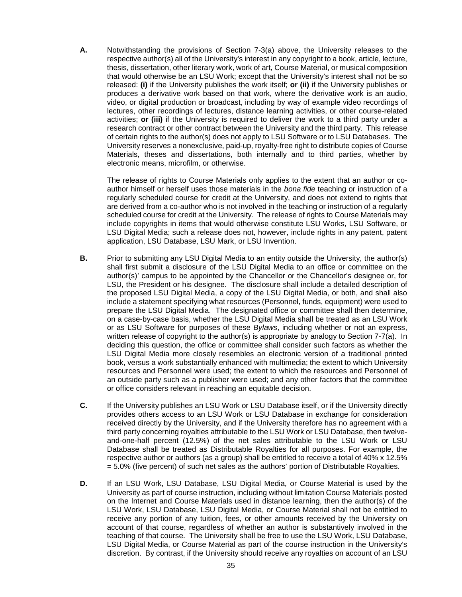**A.** Notwithstanding the provisions of Section 7-3(a) above, the University releases to the respective author(s) all of the University's interest in any copyright to a book, article, lecture, thesis, dissertation, other literary work, work of art, Course Material, or musical composition that would otherwise be an LSU Work; except that the University's interest shall not be so released: **(i)** if the University publishes the work itself; **or (ii)** if the University publishes or produces a derivative work based on that work, where the derivative work is an audio, video, or digital production or broadcast, including by way of example video recordings of lectures, other recordings of lectures, distance learning activities, or other course-related activities; **or (iii)** if the University is required to deliver the work to a third party under a research contract or other contract between the University and the third party. This release of certain rights to the author(s) does not apply to LSU Software or to LSU Databases. The University reserves a nonexclusive, paid-up, royalty-free right to distribute copies of Course Materials, theses and dissertations, both internally and to third parties, whether by electronic means, microfilm, or otherwise.

The release of rights to Course Materials only applies to the extent that an author or coauthor himself or herself uses those materials in the *bona fide* teaching or instruction of a regularly scheduled course for credit at the University, and does not extend to rights that are derived from a co-author who is not involved in the teaching or instruction of a regularly scheduled course for credit at the University. The release of rights to Course Materials may include copyrights in items that would otherwise constitute LSU Works, LSU Software, or LSU Digital Media; such a release does not, however, include rights in any patent, patent application, LSU Database, LSU Mark, or LSU Invention.

- **B.** Prior to submitting any LSU Digital Media to an entity outside the University, the author(s) shall first submit a disclosure of the LSU Digital Media to an office or committee on the author(s)' campus to be appointed by the Chancellor or the Chancellor's designee or, for LSU, the President or his designee. The disclosure shall include a detailed description of the proposed LSU Digital Media, a copy of the LSU Digital Media, or both, and shall also include a statement specifying what resources (Personnel, funds, equipment) were used to prepare the LSU Digital Media. The designated office or committee shall then determine, on a case-by-case basis, whether the LSU Digital Media shall be treated as an LSU Work or as LSU Software for purposes of these *Bylaws*, including whether or not an express, written release of copyright to the author(s) is appropriate by analogy to Section 7-7(a). In deciding this question, the office or committee shall consider such factors as whether the LSU Digital Media more closely resembles an electronic version of a traditional printed book, versus a work substantially enhanced with multimedia; the extent to which University resources and Personnel were used; the extent to which the resources and Personnel of an outside party such as a publisher were used; and any other factors that the committee or office considers relevant in reaching an equitable decision.
- **C.** If the University publishes an LSU Work or LSU Database itself, or if the University directly provides others access to an LSU Work or LSU Database in exchange for consideration received directly by the University, and if the University therefore has no agreement with a third party concerning royalties attributable to the LSU Work or LSU Database, then twelveand-one-half percent (12.5%) of the net sales attributable to the LSU Work or LSU Database shall be treated as Distributable Royalties for all purposes. For example, the respective author or authors (as a group) shall be entitled to receive a total of 40% x 12.5% = 5.0% (five percent) of such net sales as the authors' portion of Distributable Royalties.
- **D.** If an LSU Work, LSU Database, LSU Digital Media, or Course Material is used by the University as part of course instruction, including without limitation Course Materials posted on the Internet and Course Materials used in distance learning, then the author(s) of the LSU Work, LSU Database, LSU Digital Media, or Course Material shall not be entitled to receive any portion of any tuition, fees, or other amounts received by the University on account of that course, regardless of whether an author is substantively involved in the teaching of that course. The University shall be free to use the LSU Work, LSU Database, LSU Digital Media, or Course Material as part of the course instruction in the University's discretion. By contrast, if the University should receive any royalties on account of an LSU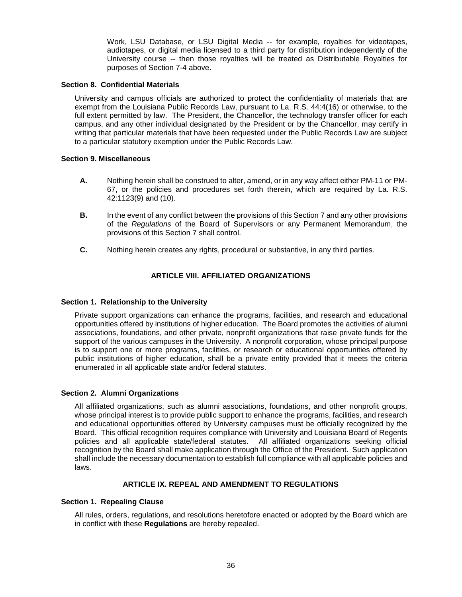Work, LSU Database, or LSU Digital Media -- for example, royalties for videotapes, audiotapes, or digital media licensed to a third party for distribution independently of the University course -- then those royalties will be treated as Distributable Royalties for purposes of Section 7-4 above.

## **Section 8. Confidential Materials**

University and campus officials are authorized to protect the confidentiality of materials that are exempt from the Louisiana Public Records Law, pursuant to La. R.S. 44:4(16) or otherwise, to the full extent permitted by law. The President, the Chancellor, the technology transfer officer for each campus, and any other individual designated by the President or by the Chancellor, may certify in writing that particular materials that have been requested under the Public Records Law are subject to a particular statutory exemption under the Public Records Law.

# **Section 9. Miscellaneous**

- **A.** Nothing herein shall be construed to alter, amend, or in any way affect either PM-11 or PM-67, or the policies and procedures set forth therein, which are required by La. R.S. 42:1123(9) and (10).
- **B.** In the event of any conflict between the provisions of this Section 7 and any other provisions of the *Regulations* of the Board of Supervisors or any Permanent Memorandum, the provisions of this Section 7 shall control.
- **C.** Nothing herein creates any rights, procedural or substantive, in any third parties.

# **ARTICLE VIII. AFFILIATED ORGANIZATIONS**

## <span id="page-37-0"></span>**Section 1. Relationship to the University**

Private support organizations can enhance the programs, facilities, and research and educational opportunities offered by institutions of higher education. The Board promotes the activities of alumni associations, foundations, and other private, nonprofit organizations that raise private funds for the support of the various campuses in the University. A nonprofit corporation, whose principal purpose is to support one or more programs, facilities, or research or educational opportunities offered by public institutions of higher education, shall be a private entity provided that it meets the criteria enumerated in all applicable state and/or federal statutes.

## **Section 2. Alumni Organizations**

All affiliated organizations, such as alumni associations, foundations, and other nonprofit groups, whose principal interest is to provide public support to enhance the programs, facilities, and research and educational opportunities offered by University campuses must be officially recognized by the Board. This official recognition requires compliance with University and Louisiana Board of Regents policies and all applicable state/federal statutes. All affiliated organizations seeking official recognition by the Board shall make application through the Office of the President. Such application shall include the necessary documentation to establish full compliance with all applicable policies and laws.

# **ARTICLE IX. REPEAL AND AMENDMENT TO REGULATIONS**

## <span id="page-37-1"></span>**Section 1. Repealing Clause**

All rules, orders, regulations, and resolutions heretofore enacted or adopted by the Board which are in conflict with these **Regulations** are hereby repealed.